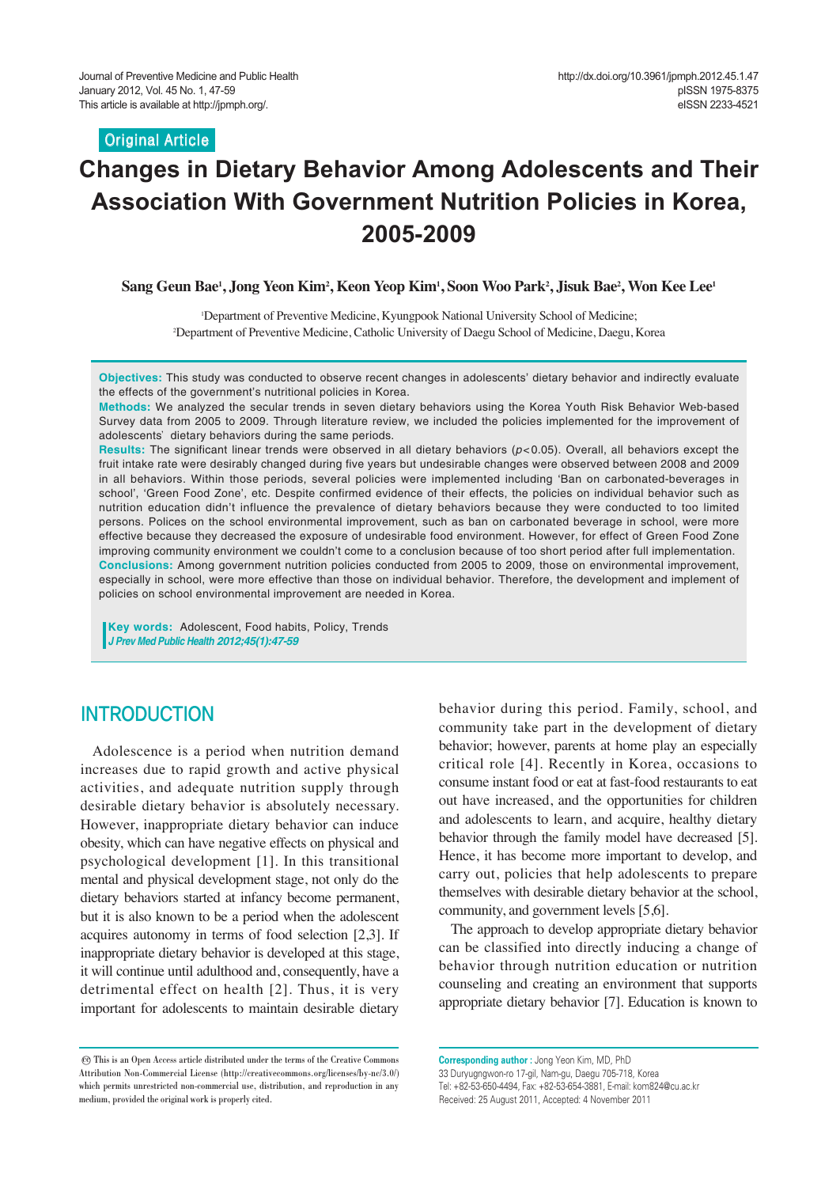**Original Article**

# **Changes in Dietary Behavior Among Adolescents and Their Association With Government Nutrition Policies in Korea, 2005-2009**

**Sang Geun Bae1 , Jong Yeon Kim2 , Keon Yeop Kim1 , Soon Woo Park2 , Jisuk Bae2 , Won Kee Lee1**

1 Department of Preventive Medicine, Kyungpook National University School of Medicine; 2 Department of Preventive Medicine, Catholic University of Daegu School of Medicine, Daegu, Korea

**Objectives:** This study was conducted to observe recent changes in adolescents' dietary behavior and indirectly evaluate the effects of the government's nutritional policies in Korea.

**Methods:** We analyzed the secular trends in seven dietary behaviors using the Korea Youth Risk Behavior Web-based Survey data from 2005 to 2009. Through literature review, we included the policies implemented for the improvement of adolescents' dietary behaviors during the same periods.

**Results:** The significant linear trends were observed in all dietary behaviors (*p*<0.05). Overall, all behaviors except the fruit intake rate were desirably changed during five years but undesirable changes were observed between 2008 and 2009 in all behaviors. Within those periods, several policies were implemented including 'Ban on carbonated-beverages in school', 'Green Food Zone', etc. Despite confirmed evidence of their effects, the policies on individual behavior such as nutrition education didn't influence the prevalence of dietary behaviors because they were conducted to too limited persons. Polices on the school environmental improvement, such as ban on carbonated beverage in school, were more effective because they decreased the exposure of undesirable food environment. However, for effect of Green Food Zone improving community environment we couldn't come to a conclusion because of too short period after full implementation. **Conclusions:** Among government nutrition policies conducted from 2005 to 2009, those on environmental improvement, especially in school, were more effective than those on individual behavior. Therefore, the development and implement of policies on school environmental improvement are needed in Korea.

**Key words:** Adolescent, Food habits, Policy, Trends *J Prev Med Public Health 2012;45(1):47-59*

# **INTRODUCTION**

Adolescence is a period when nutrition demand increases due to rapid growth and active physical activities, and adequate nutrition supply through desirable dietary behavior is absolutely necessary. However, inappropriate dietary behavior can induce obesity, which can have negative effects on physical and psychological development [1]. In this transitional mental and physical development stage, not only do the dietary behaviors started at infancy become permanent, but it is also known to be a period when the adolescent acquires autonomy in terms of food selection [2,3]. If inappropriate dietary behavior is developed at this stage, it will continue until adulthood and, consequently, have a detrimental effect on health [2]. Thus, it is very important for adolescents to maintain desirable dietary

behavior during this period. Family, school, and community take part in the development of dietary behavior; however, parents at home play an especially critical role [4]. Recently in Korea, occasions to consume instant food or eat at fast-food restaurants to eat out have increased, and the opportunities for children and adolescents to learn, and acquire, healthy dietary behavior through the family model have decreased [5]. Hence, it has become more important to develop, and carry out, policies that help adolescents to prepare themselves with desirable dietary behavior at the school, community, and government levels [5,6].

The approach to develop appropriate dietary behavior can be classified into directly inducing a change of behavior through nutrition education or nutrition counseling and creating an environment that supports appropriate dietary behavior [7]. Education is known to

<sup>©</sup> This is an Open Access article distributed under the terms of the Creative Commons Attribution Non-Commercial License (http://creativecommons.org/licenses/by-nc/3.0/) which permits unrestricted non-commercial use, distribution, and reproduction in any medium, provided the original work is properly cited.

**Corresponding author :** Jong Yeon Kim, MD, PhD 33 Duryugngwon-ro 17-gil, Nam-gu, Daegu 705-718, Korea Tel: +82-53-650-4494, Fax: +82-53-654-3881, E-mail: kom824@cu.ac.kr Received: 25 August 2011, Accepted: 4 November 2011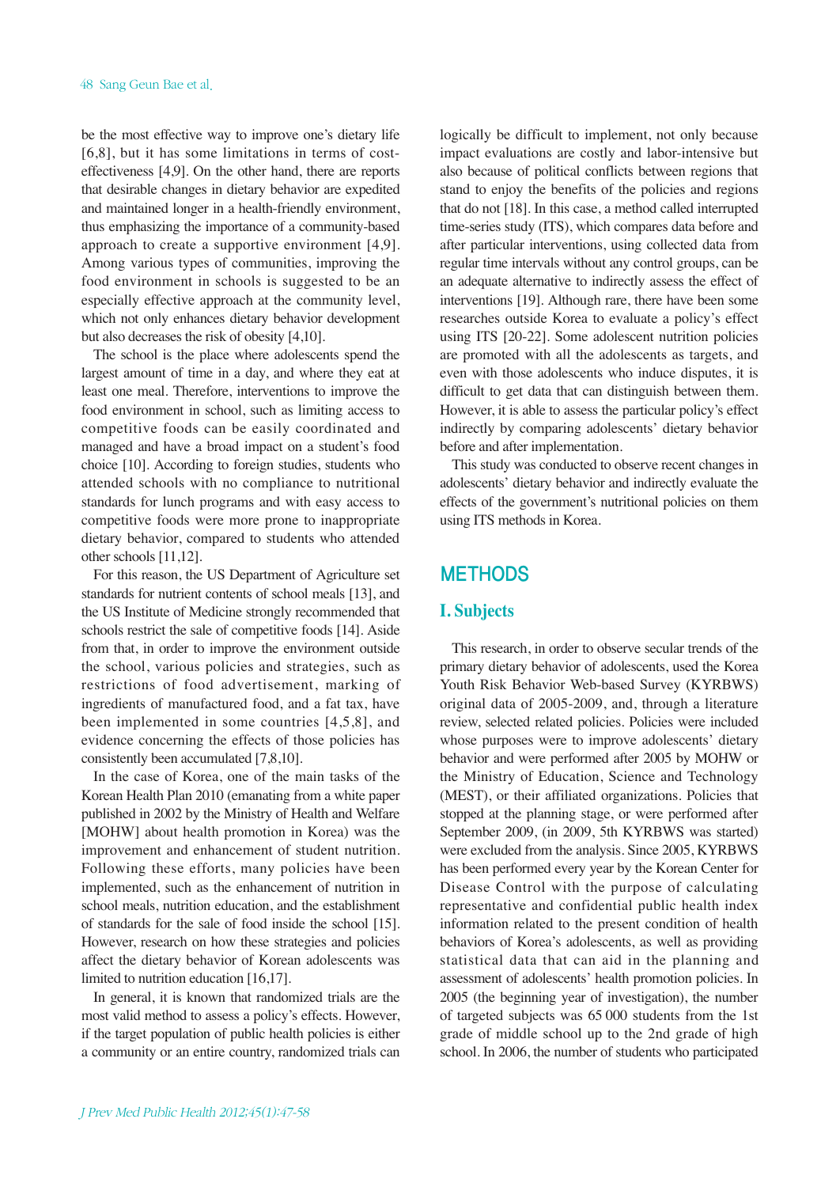be the most effective way to improve one's dietary life [6,8], but it has some limitations in terms of costeffectiveness [4,9]. On the other hand, there are reports that desirable changes in dietary behavior are expedited and maintained longer in a health-friendly environment, thus emphasizing the importance of a community-based approach to create a supportive environment [4,9]. Among various types of communities, improving the food environment in schools is suggested to be an especially effective approach at the community level, which not only enhances dietary behavior development but also decreases the risk of obesity [4,10].

The school is the place where adolescents spend the largest amount of time in a day, and where they eat at least one meal. Therefore, interventions to improve the food environment in school, such as limiting access to competitive foods can be easily coordinated and managed and have a broad impact on a student's food choice [10]. According to foreign studies, students who attended schools with no compliance to nutritional standards for lunch programs and with easy access to competitive foods were more prone to inappropriate dietary behavior, compared to students who attended other schools [11,12].

For this reason, the US Department of Agriculture set standards for nutrient contents of school meals [13], and the US Institute of Medicine strongly recommended that schools restrict the sale of competitive foods [14]. Aside from that, in order to improve the environment outside the school, various policies and strategies, such as restrictions of food advertisement, marking of ingredients of manufactured food, and a fat tax, have been implemented in some countries [4,5,8], and evidence concerning the effects of those policies has consistently been accumulated [7,8,10].

In the case of Korea, one of the main tasks of the Korean Health Plan 2010 (emanating from a white paper published in 2002 by the Ministry of Health and Welfare [MOHW] about health promotion in Korea) was the improvement and enhancement of student nutrition. Following these efforts, many policies have been implemented, such as the enhancement of nutrition in school meals, nutrition education, and the establishment of standards for the sale of food inside the school [15]. However, research on how these strategies and policies affect the dietary behavior of Korean adolescents was limited to nutrition education [16,17].

In general, it is known that randomized trials are the most valid method to assess a policy's effects. However, if the target population of public health policies is either a community or an entire country, randomized trials can

logically be difficult to implement, not only because impact evaluations are costly and labor-intensive but also because of political conflicts between regions that stand to enjoy the benefits of the policies and regions that do not [18]. In this case, a method called interrupted time-series study (ITS), which compares data before and after particular interventions, using collected data from regular time intervals without any control groups, can be an adequate alternative to indirectly assess the effect of interventions [19]. Although rare, there have been some researches outside Korea to evaluate a policy's effect using ITS [20-22]. Some adolescent nutrition policies are promoted with all the adolescents as targets, and even with those adolescents who induce disputes, it is difficult to get data that can distinguish between them. However, it is able to assess the particular policy's effect indirectly by comparing adolescents' dietary behavior before and after implementation.

This study was conducted to observe recent changes in adolescents' dietary behavior and indirectly evaluate the effects of the government's nutritional policies on them using ITS methods in Korea.

# **METHODS**

### **I. Subjects**

This research, in order to observe secular trends of the primary dietary behavior of adolescents, used the Korea Youth Risk Behavior Web-based Survey (KYRBWS) original data of 2005-2009, and, through a literature review, selected related policies. Policies were included whose purposes were to improve adolescents' dietary behavior and were performed after 2005 by MOHW or the Ministry of Education, Science and Technology (MEST), or their affiliated organizations. Policies that stopped at the planning stage, or were performed after September 2009, (in 2009, 5th KYRBWS was started) were excluded from the analysis. Since 2005, KYRBWS has been performed every year by the Korean Center for Disease Control with the purpose of calculating representative and confidential public health index information related to the present condition of health behaviors of Korea's adolescents, as well as providing statistical data that can aid in the planning and assessment of adolescents' health promotion policies. In 2005 (the beginning year of investigation), the number of targeted subjects was 65 000 students from the 1st grade of middle school up to the 2nd grade of high school. In 2006, the number of students who participated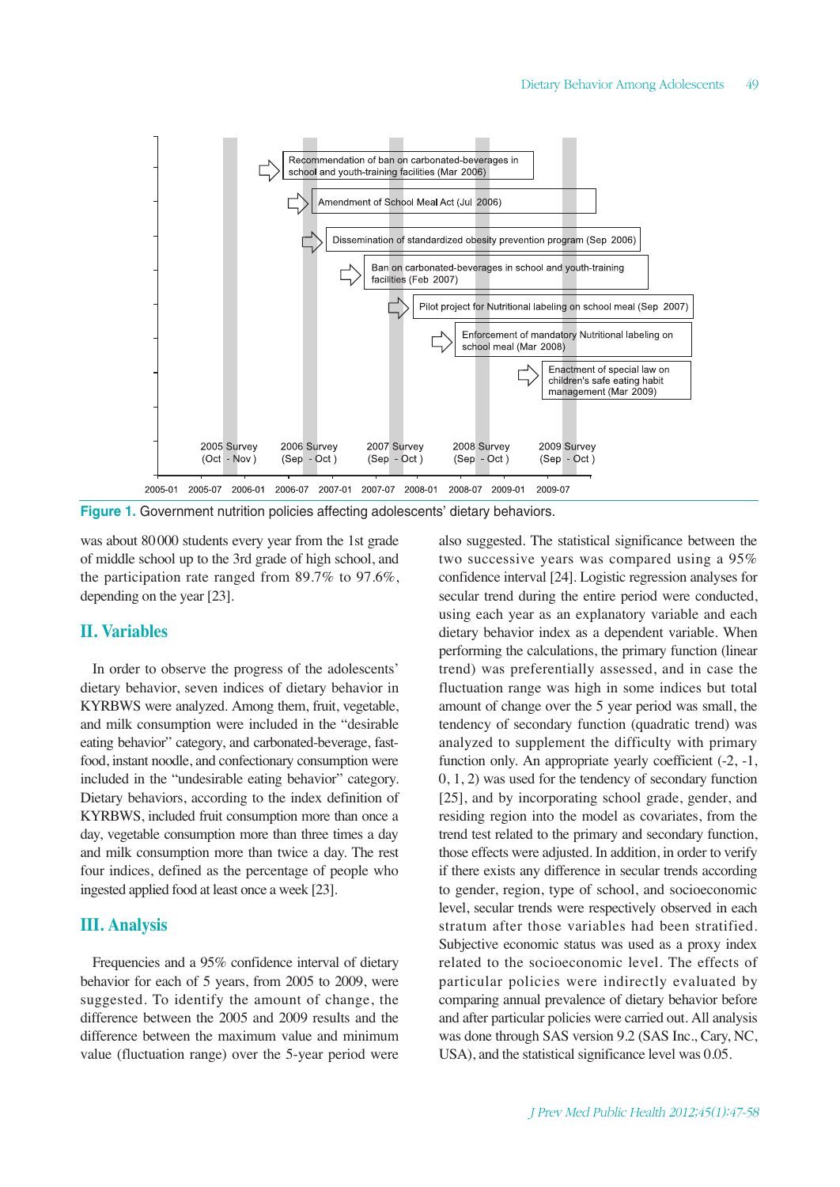

**Figure 1.** Government nutrition policies affecting adolescents' dietary behaviors.

was about 80000 students every year from the 1st grade of middle school up to the 3rd grade of high school, and the participation rate ranged from 89.7% to 97.6%, depending on the year [23].

#### **II. Variables**

In order to observe the progress of the adolescents' dietary behavior, seven indices of dietary behavior in KYRBWS were analyzed. Among them, fruit, vegetable, and milk consumption were included in the "desirable eating behavior" category, and carbonated-beverage, fastfood, instant noodle, and confectionary consumption were included in the "undesirable eating behavior" category. Dietary behaviors, according to the index definition of KYRBWS, included fruit consumption more than once a day, vegetable consumption more than three times a day and milk consumption more than twice a day. The rest four indices, defined as the percentage of people who ingested applied food at least once a week [23].

#### **III. Analysis**

Frequencies and a 95% confidence interval of dietary behavior for each of 5 years, from 2005 to 2009, were suggested. To identify the amount of change, the difference between the 2005 and 2009 results and the difference between the maximum value and minimum value (fluctuation range) over the 5-year period were also suggested. The statistical significance between the two successive years was compared using a 95% confidence interval [24]. Logistic regression analyses for secular trend during the entire period were conducted, using each year as an explanatory variable and each dietary behavior index as a dependent variable. When performing the calculations, the primary function (linear trend) was preferentially assessed, and in case the fluctuation range was high in some indices but total amount of change over the 5 year period was small, the tendency of secondary function (quadratic trend) was analyzed to supplement the difficulty with primary function only. An appropriate yearly coefficient  $(-2, -1,$ 0, 1, 2) was used for the tendency of secondary function [25], and by incorporating school grade, gender, and residing region into the model as covariates, from the trend test related to the primary and secondary function, those effects were adjusted. In addition, in order to verify if there exists any difference in secular trends according to gender, region, type of school, and socioeconomic level, secular trends were respectively observed in each stratum after those variables had been stratified. Subjective economic status was used as a proxy index related to the socioeconomic level. The effects of particular policies were indirectly evaluated by comparing annual prevalence of dietary behavior before and after particular policies were carried out. All analysis was done through SAS version 9.2 (SAS Inc., Cary, NC, USA), and the statistical significance level was 0.05.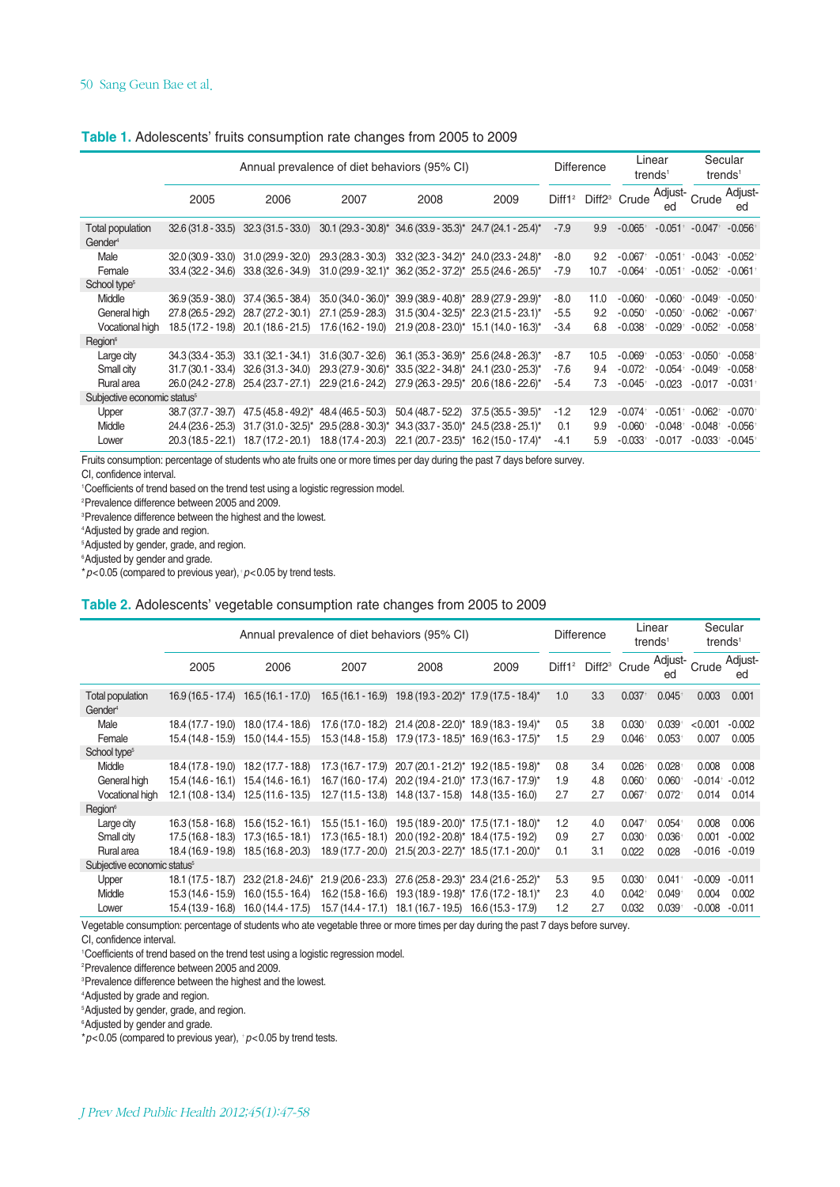| Table 1. Adolescents' fruits consumption rate changes from 2005 to 2009 |  |  |  |
|-------------------------------------------------------------------------|--|--|--|
|                                                                         |  |  |  |

|                                         |                     | Annual prevalence of diet behaviors (95% CI) |                                                                                                   |                                                                   |                                         |        | <b>Difference</b> | Linear<br>trends <sup>1</sup>               |                                             |                       | Secular<br>trends <sup>1</sup> |
|-----------------------------------------|---------------------|----------------------------------------------|---------------------------------------------------------------------------------------------------|-------------------------------------------------------------------|-----------------------------------------|--------|-------------------|---------------------------------------------|---------------------------------------------|-----------------------|--------------------------------|
|                                         | 2005                | 2006                                         | 2007                                                                                              | 2008                                                              | 2009                                    |        |                   | Diff1 <sup>2</sup> Diff2 <sup>3</sup> Crude | Adjust-<br>ed                               | Crude                 | Adjust-<br>ed                  |
| Total population<br>Gender <sup>4</sup> |                     |                                              | 32.6 (31.8 - 33.5) 32.3 (31.5 - 33.0) 30.1 (29.3 - 30.8)* 34.6 (33.9 - 35.3)* 24.7 (24.1 - 25.4)* |                                                                   |                                         | $-7.9$ | 9.9               | $-0.065$ <sup>+</sup>                       | $-0.051$ <sup>+</sup> $-0.047$ <sup>+</sup> |                       | $-0.056$ <sup>+</sup>          |
| Male                                    | $32.0(30.9 - 33.0)$ | $31.0(29.9 - 32.0)$                          | 29.3 (28.3 - 30.3)                                                                                | 33.2 (32.3 - 34.2)* 24.0 (23.3 - 24.8)*                           |                                         | -8.0   | 9.2               | $-0.067$ <sup>+</sup>                       | $-0.051$ †                                  | $-0.043$ <sup>+</sup> | $-0.052$ <sup>+</sup>          |
| Female                                  | $33.4(32.2 - 34.6)$ | 33.8 (32.6 - 34.9)                           | $31.0(29.9 - 32.1)^*$ 36.2 $(35.2 - 37.2)^*$ 25.5 $(24.6 - 26.5)^*$                               |                                                                   |                                         | $-7.9$ | 10.7              | $-0.064$ <sup>+</sup>                       | $-0.051$ <sup>+</sup>                       | $-0.052$ <sup>+</sup> | $-0.061$ <sup>+</sup>          |
| School type <sup>5</sup>                |                     |                                              |                                                                                                   |                                                                   |                                         |        |                   |                                             |                                             |                       |                                |
| Middle                                  | $36.9(35.9 - 38.0)$ | 37.4 (36.5 - 38.4)                           |                                                                                                   | 35.0 (34.0 - 36.0)* 39.9 (38.9 - 40.8)* 28.9 (27.9 - 29.9)*       |                                         | $-8.0$ | 11.0              | $-0.060$ <sup>+</sup>                       | $-0.060$ <sup>+</sup>                       | $-0.049$ <sup>+</sup> | $-0.050$ <sup>+</sup>          |
| General high                            | 27.8 (26.5 - 29.2)  | 28.7 (27.2 - 30.1)                           | 27.1 (25.9 - 28.3)                                                                                | $31.5(30.4 - 32.5)^*$ 22.3 (21.5 - 23.1) <sup>*</sup>             |                                         | $-5.5$ | 9.2               | $-0.050^{+}$                                | $-0.050^{+}$                                | $-0.062$ <sup>+</sup> | $-0.067$                       |
| Vocational high                         |                     |                                              | 18.5 (17.2 - 19.8) 20.1 (18.6 - 21.5) 17.6 (16.2 - 19.0) 21.9 (20.8 - 23.0)* 15.1 (14.0 - 16.3)*  |                                                                   |                                         | $-3.4$ | 6.8               | $-0.038$ <sup>+</sup>                       | $-0.029$ <sup>+</sup>                       | $-0.052$ <sup>+</sup> | $-0.058$                       |
| Region <sup>6</sup>                     |                     |                                              |                                                                                                   |                                                                   |                                         |        |                   |                                             |                                             |                       |                                |
| Large city                              | $34.3(33.4 - 35.3)$ | $33.1(32.1 - 34.1)$                          | $31.6(30.7 - 32.6)$                                                                               |                                                                   | 36.1 (35.3 - 36.9)* 25.6 (24.8 - 26.3)* | $-8.7$ | 10.5              | $-0.069$                                    | $-0.053$ <sup>+</sup>                       | $-0.050^{+}$          | $-0.058$                       |
| Small city                              | $31.7(30.1 - 33.4)$ | $32.6(31.3 - 34.0)$                          |                                                                                                   | 29.3 (27.9 - 30.6)* 33.5 (32.2 - 34.8)* 24.1 (23.0 - 25.3)*       |                                         | -7.6   | 9.4               | $-0.072$                                    | $-0.054$ <sup>+</sup>                       | $-0.049$ <sup>+</sup> | $-0.058$                       |
| Rural area                              |                     |                                              | 26.0 (24.2 - 27.8) 25.4 (23.7 - 27.1) 22.9 (21.6 - 24.2) 27.9 (26.3 - 29.5)* 20.6 (18.6 - 22.6)*  |                                                                   |                                         | $-5.4$ | 7.3               | $-0.045$ <sup>+</sup>                       | $-0.023$                                    | $-0.017$              | $-0.031$                       |
| Subjective economic status <sup>5</sup> |                     |                                              |                                                                                                   |                                                                   |                                         |        |                   |                                             |                                             |                       |                                |
| Upper                                   | 38.7 (37.7 - 39.7)  |                                              | $47.5(45.8 - 49.2)^*$ 48.4 (46.5 - 50.3)                                                          | $50.4(48.7 - 52.2)$                                               | $37.5(35.5 - 39.5)^{*}$                 | $-1.2$ | 12.9              | $-0.074$ <sup>+</sup>                       | $-0.051$ <sup>+</sup>                       | $-0.062$ <sup>+</sup> | $-0.070$ <sup>+</sup>          |
| Middle                                  | 24.4 (23.6 - 25.3)  |                                              | $31.7(31.0 - 32.5)^*$ 29.5 $(28.8 - 30.3)^*$ 34.3 $(33.7 - 35.0)^*$ 24.5 $(23.8 - 25.1)^*$        |                                                                   |                                         | 0.1    | 9.9               | $-0.060$ <sup>+</sup>                       | $-0.048$ <sup>+</sup>                       | $-0.048$ <sup>+</sup> | $-0.056$                       |
| Lower                                   |                     | 20.3 (18.5 - 22.1) 18.7 (17.2 - 20.1)        |                                                                                                   | $18.8(17.4 - 20.3)$ 22.1 $(20.7 - 23.5)^*$ 16.2 $(15.0 - 17.4)^*$ |                                         | $-4.1$ | 5.9               | $-0.033$ <sup>+</sup>                       | $-0.017$                                    | $-0.033$ <sup>+</sup> | $-0.045$                       |
|                                         |                     |                                              |                                                                                                   |                                                                   |                                         |        |                   |                                             |                                             |                       |                                |

Fruits consumption: percentage of students who ate fruits one or more times per day during the past 7 days before survey.

CI, confidence interval.

1 Coefficients of trend based on the trend test using a logistic regression model.

2 Prevalence difference between 2005 and 2009.

3 Prevalence difference between the highest and the lowest.

4 Adjusted by grade and region.

5 Adjusted by gender, grade, and region.

6 Adjusted by gender and grade.

\**p*<0.05 (compared to previous year),†*p*<0.05 by trend tests.

**Table 2.** Adolescents' vegetable consumption rate changes from 2005 to 2009

| trends <sup>1</sup>               |
|-----------------------------------|
| Adjust-<br>Crude<br>ed            |
| 0.001<br>0.003                    |
| < 0.001<br>$-0.002$               |
| 0.007<br>0.005                    |
|                                   |
| 0.008<br>0.008                    |
| $-0.012$<br>$-0.014$ <sup>+</sup> |
| 0.014<br>0.014                    |
|                                   |
| 0.008<br>0.006                    |
| $-0.002$<br>0.001                 |
| $-0.016$<br>$-0.019$              |
|                                   |
| $-0.009$<br>$-0.011$              |
| 0.004<br>0.002                    |
| $-0.008$<br>$-0.011$              |
|                                   |

Vegetable consumption: percentage of students who ate vegetable three or more times per day during the past 7 days before survey.

CI, confidence interval.

1 Coefficients of trend based on the trend test using a logistic regression model.

2 Prevalence difference between 2005 and 2009.

3 Prevalence difference between the highest and the lowest.

4 Adjusted by grade and region.

5 Adjusted by gender, grade, and region.

6 Adjusted by gender and grade.

\**p*<0.05 (compared to previous year), †*p*<0.05 by trend tests.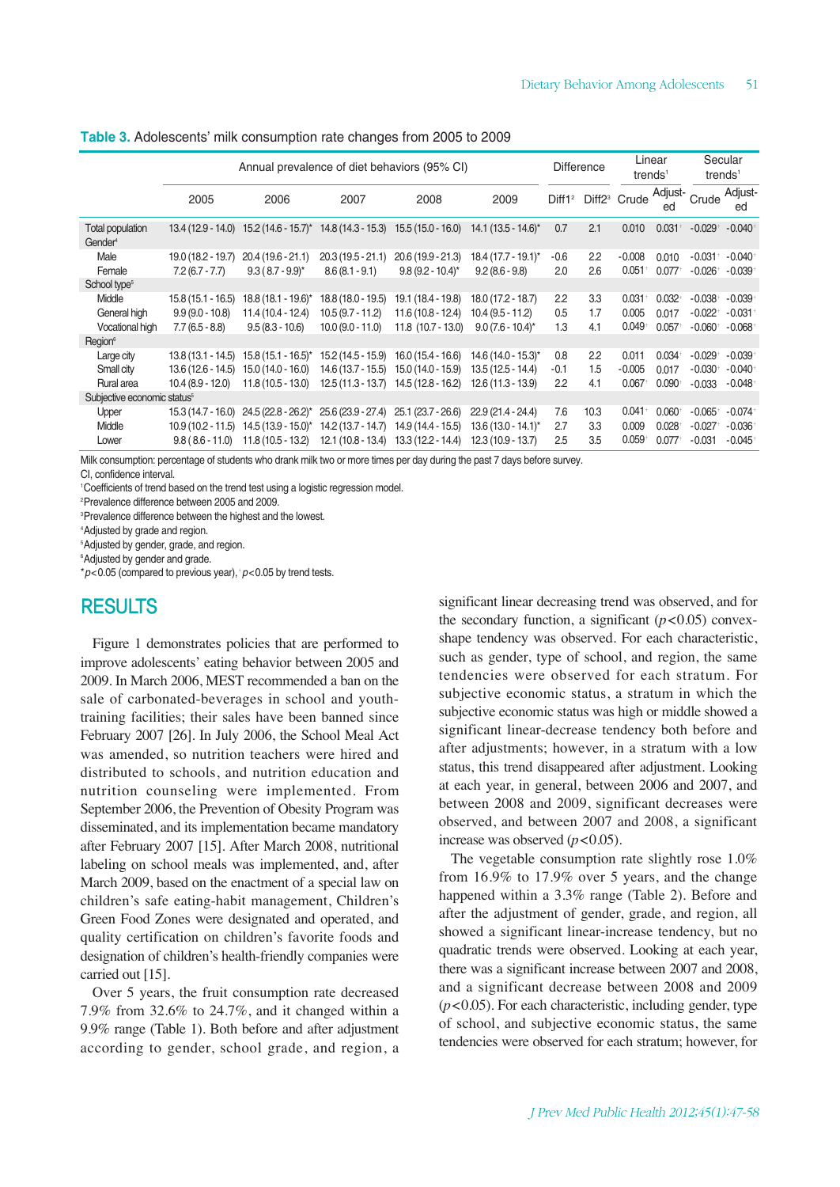| Table 3. Adolescents' milk consumption rate changes from 2005 to 2009 |  |  |  |
|-----------------------------------------------------------------------|--|--|--|
|                                                                       |  |  |  |

|                                                |                     | Annual prevalence of diet behaviors (95% CI)                  |                     |                       |                          | <b>Difference</b>  |      | Linear<br>trends <sup>1</sup>        |                      | trends <sup>1</sup>   | Secular       |
|------------------------------------------------|---------------------|---------------------------------------------------------------|---------------------|-----------------------|--------------------------|--------------------|------|--------------------------------------|----------------------|-----------------------|---------------|
|                                                | 2005                | 2006                                                          | 2007                | 2008                  | 2009                     | Diff1 <sup>2</sup> |      | Diff <sub>2</sub> <sup>3</sup> Crude | Adjust-<br>ed        | Crude                 | Adjust-<br>ed |
| <b>Total population</b><br>Gender <sup>4</sup> |                     | $13.4(12.9 - 14.0)$ $15.2(14.6 - 15.7)^*$ $14.8(14.3 - 15.3)$ |                     | $15.5(15.0 - 16.0)$   | $14.1 (13.5 - 14.6)^{*}$ | 0.7                | 2.1  | 0.010                                | $0.031 +$            | $-0.029$ <sup>+</sup> | $-0.040$      |
| Male                                           | 19.0 (18.2 - 19.7)  | $20.4(19.6 - 21.1)$                                           | $20.3(19.5 - 21.1)$ | $20.6(19.9 - 21.3)$   | $18.4(17.7 - 19.1)^{*}$  | $-0.6$             | 2.2  | $-0.008$                             | 0.010                | $-0.031$ <sup>+</sup> | $-0.040$      |
| Female                                         | $7.2(6.7 - 7.7)$    | $9.3(8.7-9.9)^{*}$                                            | $8.6(8.1 - 9.1)$    | $9.8(9.2 - 10.4)^{*}$ | $9.2(8.6 - 9.8)$         | 2.0                | 2.6  | $0.051$ <sup>+</sup>                 | $0.077$ <sup>+</sup> | $-0.026$ <sup>+</sup> | $-0.039$      |
| School type <sup>5</sup>                       |                     |                                                               |                     |                       |                          |                    |      |                                      |                      |                       |               |
| Middle                                         | 15.8 (15.1 - 16.5)  | $18.8(18.1 - 19.6)^{*}$                                       | 18.8 (18.0 - 19.5)  | 19.1 (18.4 - 19.8)    | $18.0(17.2 - 18.7)$      | 2.2                | 3.3  | $0.031 +$                            | 0.032                | $-0.038$ <sup>+</sup> | $-0.039$      |
| General high                                   | $9.9(9.0 - 10.8)$   | 11.4 (10.4 - 12.4)                                            | $10.5(9.7 - 11.2)$  | $11.6(10.8 - 12.4)$   | $10.4(9.5 - 11.2)$       | 0.5                | 1.7  | 0.005                                | 0.017                | $-0.022$ <sup>+</sup> | $-0.031$      |
| Vocational high                                | $7.7(6.5 - 8.8)$    | $9.5(8.3 - 10.6)$                                             | $10.0(9.0 - 11.0)$  | $11.8$ (10.7 - 13.0)  | $9.0(7.6 - 10.4)^{*}$    | 1.3                | 4.1  | $0.049$ <sup>+</sup>                 | $0.057$ <sup>+</sup> | $-0.060$ <sup>+</sup> | $-0.068$      |
| Region <sup>6</sup>                            |                     |                                                               |                     |                       |                          |                    |      |                                      |                      |                       |               |
| Large city                                     | 13.8 (13.1 - 14.5)  | $15.8(15.1 - 16.5)^{*}$                                       | 15.2 (14.5 - 15.9)  | $16.0(15.4 - 16.6)$   | $14.6(14.0 - 15.3)^{*}$  | 0.8                | 2.2  | 0.011                                | $0.034 +$            | $-0.029$ <sup>+</sup> | $-0.039$      |
| Small city                                     | 13.6 (12.6 - 14.5)  | $15.0(14.0 - 16.0)$                                           | $14.6(13.7 - 15.5)$ | $15.0(14.0 - 15.9)$   | $13.5(12.5 - 14.4)$      | $-0.1$             | 1.5  | $-0.005$                             | 0.017                | $-0.030$ <sup>+</sup> | $-0.040$      |
| Rural area                                     | 10.4 (8.9 - 12.0)   | $11.8(10.5 - 13.0)$                                           | $12.5(11.3 - 13.7)$ | 14.5 (12.8 - 16.2)    | $12.6(11.3 - 13.9)$      | 2.2                | 4.1  | $0.067$ <sup>+</sup>                 | $0.090^{+}$          | $-0.033$              | $-0.048$      |
| Subjective economic status <sup>5</sup>        |                     |                                                               |                     |                       |                          |                    |      |                                      |                      |                       |               |
| Upper                                          | $15.3(14.7 - 16.0)$ | 24.5 (22.8 - 26.2)*                                           | 25.6 (23.9 - 27.4)  | $25.1(23.7 - 26.6)$   | $22.9(21.4 - 24.4)$      | 7.6                | 10.3 | $0.041$ <sup>+</sup>                 | $0.060$ <sup>+</sup> | $-0.065$ <sup>+</sup> | $-0.074$      |
| Middle                                         | 10.9 (10.2 - 11.5)  | 14.5 (13.9 - 15.0)*                                           | 14.2 (13.7 - 14.7)  | 14.9 (14.4 - 15.5)    | $13.6(13.0 - 14.1)^{*}$  | 2.7                | 3.3  | 0.009                                | $0.028 +$            | $-0.027$              | $-0.036$      |
| Lower                                          | $9.8(8.6 - 11.0)$   | $11.8(10.5 - 13.2)$                                           | $12.1(10.8 - 13.4)$ | $13.3(12.2 - 14.4)$   | $12.3(10.9 - 13.7)$      | 2.5                | 3.5  | $0.059$ <sup>+</sup>                 | $0.077$ <sup>+</sup> | $-0.031$              | $-0.045$      |
|                                                |                     |                                                               |                     |                       |                          |                    |      |                                      |                      |                       |               |

Milk consumption: percentage of students who drank milk two or more times per day during the past 7 days before survey.

CI, confidence interval.

1 Coefficients of trend based on the trend test using a logistic regression model.

2 Prevalence difference between 2005 and 2009.

3 Prevalence difference between the highest and the lowest.

4 Adjusted by grade and region.

5 Adjusted by gender, grade, and region.

6 Adjusted by gender and grade.

\**p*<0.05 (compared to previous year),†*p*<0.05 by trend tests.

### RESULTS

Figure 1 demonstrates policies that are performed to improve adolescents' eating behavior between 2005 and 2009. In March 2006, MEST recommended a ban on the sale of carbonated-beverages in school and youthtraining facilities; their sales have been banned since February 2007 [26]. In July 2006, the School Meal Act was amended, so nutrition teachers were hired and distributed to schools, and nutrition education and nutrition counseling were implemented. From September 2006, the Prevention of Obesity Program was disseminated, and its implementation became mandatory after February 2007 [15]. After March 2008, nutritional labeling on school meals was implemented, and, after March 2009, based on the enactment of a special law on children's safe eating-habit management, Children's Green Food Zones were designated and operated, and quality certification on children's favorite foods and designation of children's health-friendly companies were carried out [15].

Over 5 years, the fruit consumption rate decreased 7.9% from 32.6% to 24.7%, and it changed within a 9.9% range (Table 1). Both before and after adjustment according to gender, school grade, and region, a significant linear decreasing trend was observed, and for the secondary function, a significant  $(p<0.05)$  convexshape tendency was observed. For each characteristic, such as gender, type of school, and region, the same tendencies were observed for each stratum. For subjective economic status, a stratum in which the subjective economic status was high or middle showed a significant linear-decrease tendency both before and after adjustments; however, in a stratum with a low status, this trend disappeared after adjustment. Looking at each year, in general, between 2006 and 2007, and between 2008 and 2009, significant decreases were observed, and between 2007 and 2008, a significant increase was observed  $(p<0.05)$ .

The vegetable consumption rate slightly rose 1.0% from 16.9% to 17.9% over 5 years, and the change happened within a 3.3% range (Table 2). Before and after the adjustment of gender, grade, and region, all showed a significant linear-increase tendency, but no quadratic trends were observed. Looking at each year, there was a significant increase between 2007 and 2008, and a significant decrease between 2008 and 2009 (*p*<0.05). For each characteristic, including gender, type of school, and subjective economic status, the same tendencies were observed for each stratum; however, for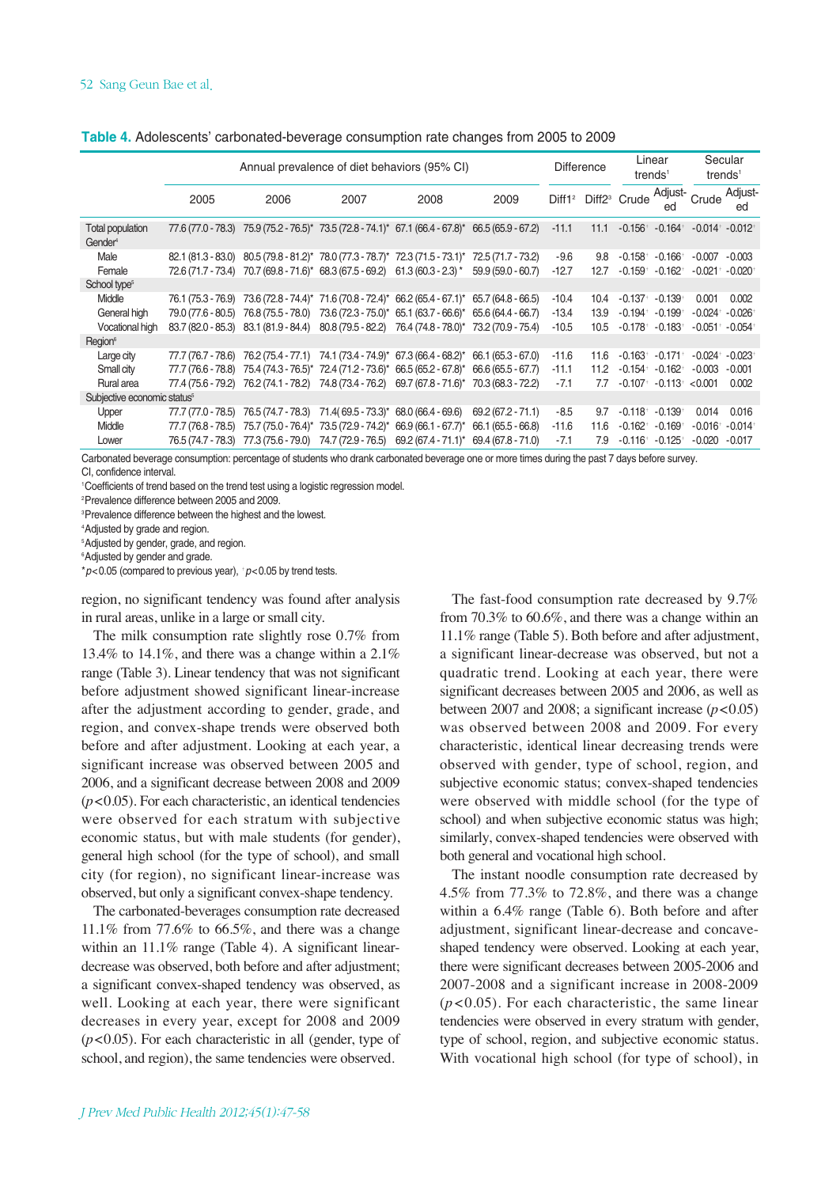| Adjust- Crude <sup>'</sup><br>Diff1 <sup>2</sup> Diff2 <sup>3</sup> Crude<br>2009<br>2005<br>2006<br>2007<br>2008<br>ed                                                                                                                 | Adjust-<br>ed         |
|-----------------------------------------------------------------------------------------------------------------------------------------------------------------------------------------------------------------------------------------|-----------------------|
|                                                                                                                                                                                                                                         |                       |
| 77.6 (77.0 - 78.3) 75.9 (75.2 - 76.5)* 73.5 (72.8 - 74.1)* 67.1 (66.4 - 67.8)* 66.5 (65.9 - 67.2)<br>$-11.1$<br>$-0.156$ <sup>+</sup> $-0.164$ <sup>+</sup><br>$-0.014$ † $-0.012$ †<br>Total population<br>11.1<br>Gender <sup>4</sup> |                       |
| Male<br>82.1 (81.3 - 83.0) 80.5 (79.8 - 81.2)* 78.0 (77.3 - 78.7)* 72.3 (71.5 - 73.1)* 72.5 (71.7 - 73.2)<br>-9.6<br>$-0.166$ <sup>+</sup><br>9.8<br>$-0.158$ <sup>+</sup><br>$-0.007$                                                  | $-0.003$              |
| Female<br>72.6 (71.7 - 73.4) 70.7 (69.8 - 71.6)* 68.3 (67.5 - 69.2) 61.3 (60.3 - 2.3) *<br>59.9 (59.0 - 60.7)<br>$-12.7$<br>$-0.162$ <sup>+</sup><br>$-0.021$ <sup>+</sup><br>$-0.159$ <sup>+</sup><br>12.7                             | $-0.020$ <sup>+</sup> |
| School type <sup>5</sup>                                                                                                                                                                                                                |                       |
| Middle<br>76.1 (75.3 - 76.9) 73.6 (72.8 - 74.4)* 71.6 (70.8 - 72.4)* 66.2 (65.4 - 67.1)* 65.7 (64.8 - 66.5)<br>$-10.4$<br>$-0.137$<br>$-0.139$ <sup>+</sup><br>0.001<br>10.4                                                            | 0.002                 |
| General high<br>79.0 (77.6 - 80.5) 76.8 (75.5 - 78.0) 73.6 (72.3 - 75.0)* 65.1 (63.7 - 66.6)* 65.6 (64.4 - 66.7)<br>$-0.199$<br>$-0.024$ <sup>+</sup><br>-13.4<br>$-0.194$ <sup>+</sup><br>13.9                                         | $-0.026$              |
| Vocational high<br>83.7 (82.0 - 85.3) 83.1 (81.9 - 84.4) 80.8 (79.5 - 82.2) 76.4 (74.8 - 78.0)* 73.2 (70.9 - 75.4)<br>$-10.5$<br>$-0.183$<br>$-0.051$ †<br>$-0.178$ <sup>+</sup><br>10.5                                                | $-0.054$              |
| Region®                                                                                                                                                                                                                                 |                       |
| 77.7 (76.7 - 78.6) 76.2 (75.4 - 77.1) 74.1 (73.4 - 74.9)* 67.3 (66.4 - 68.2)* 66.1 (65.3 - 67.0)<br>$-11.6$<br>$-0.163$ <sup>+</sup><br>$-0.171$ <sup>+</sup><br>$-0.024$ <sup>+</sup><br>Large city<br>11.6                            | $-0.023$              |
| 75.4 (74.3 - 76.5)* 72.4 (71.2 - 73.6)* 66.5 (65.2 - 67.8)* 66.6 (65.5 - 67.7)<br>Small city<br>$-11.1$<br>$-0.154$ <sup>+</sup><br>$-0.162$ <sup>+</sup><br>$-0.003$<br>77.7 (76.6 - 78.8)<br>11.2                                     | $-0.001$              |
| Rural area<br>77.4 (75.6 - 79.2) 76.2 (74.1 - 78.2) 74.8 (73.4 - 76.2) 69.7 (67.8 - 71.6)* 70.3 (68.3 - 72.2)<br>$-7.1$<br>$-0.113$ <sup>+</sup><br>$-0.107$ <sup>+</sup><br>< 0.001<br>7.7                                             | 0.002                 |
| Subjective economic status <sup>5</sup>                                                                                                                                                                                                 |                       |
| 76.5 (74.7 - 78.3) 71.4 (69.5 - 73.3)* 68.0 (66.4 - 69.6)<br>$-8.5$<br>0.014<br>77.7 (77.0 - 78.5)<br>$69.2(67.2 - 71.1)$<br>$-0.118$ <sup>+</sup><br>$-0.139$<br>Upper<br>9.7                                                          | 0.016                 |
| 75.7 (75.0 - 76.4)* 73.5 (72.9 - 74.2)* 66.9 (66.1 - 67.7)*<br>Middle<br>77.7 (76.8 - 78.5)<br>66.1 (65.5 - 66.8)<br>$-11.6$<br>$-0.162$ <sup>+</sup><br>$-0.169$<br>$-0.016$ <sup>+</sup><br>11.6                                      | $-0.014$              |
| 77.3 (75.6 - 79.0) 74.7 (72.9 - 76.5)<br>$69.2(67.4 - 71.1)^*$<br>$-7.1$<br>76.5 (74.7 - 78.3)<br>69.4 (67.8 - 71.0)<br>$-0.116$ <sup>+</sup><br>$-0.125$<br>$-0.020$<br>7.9<br>Lower                                                   | $-0.017$              |

| Table 4. Adolescents' carbonated-beverage consumption rate changes from 2005 to 2009 |  |  |
|--------------------------------------------------------------------------------------|--|--|
|                                                                                      |  |  |

Carbonated beverage consumption: percentage of students who drank carbonated beverage one or more times during the past 7 days before survey. CI, confidence interval.

1 Coefficients of trend based on the trend test using a logistic regression model.

2 Prevalence difference between 2005 and 2009.

3 Prevalence difference between the highest and the lowest.

4 Adjusted by grade and region.

5 Adjusted by gender, grade, and region.

6 Adjusted by gender and grade.

\**p*<0.05 (compared to previous year), †*p*<0.05 by trend tests.

region, no significant tendency was found after analysis in rural areas, unlike in a large or small city.

The milk consumption rate slightly rose 0.7% from 13.4% to 14.1%, and there was a change within a 2.1% range (Table 3). Linear tendency that was not significant before adjustment showed significant linear-increase after the adjustment according to gender, grade, and region, and convex-shape trends were observed both before and after adjustment. Looking at each year, a significant increase was observed between 2005 and 2006, and a significant decrease between 2008 and 2009  $(p<0.05)$ . For each characteristic, an identical tendencies were observed for each stratum with subjective economic status, but with male students (for gender), general high school (for the type of school), and small city (for region), no significant linear-increase was observed, but only a significant convex-shape tendency.

The carbonated-beverages consumption rate decreased 11.1% from 77.6% to 66.5%, and there was a change within an 11.1% range (Table 4). A significant lineardecrease was observed, both before and after adjustment; a significant convex-shaped tendency was observed, as well. Looking at each year, there were significant decreases in every year, except for 2008 and 2009 (*p*<0.05). For each characteristic in all (gender, type of school, and region), the same tendencies were observed.

The fast-food consumption rate decreased by 9.7% from 70.3% to 60.6%, and there was a change within an 11.1% range (Table 5). Both before and after adjustment, a significant linear-decrease was observed, but not a quadratic trend. Looking at each year, there were significant decreases between 2005 and 2006, as well as between 2007 and 2008; a significant increase  $(p<0.05)$ was observed between 2008 and 2009. For every characteristic, identical linear decreasing trends were observed with gender, type of school, region, and subjective economic status; convex-shaped tendencies were observed with middle school (for the type of school) and when subjective economic status was high; similarly, convex-shaped tendencies were observed with both general and vocational high school.

The instant noodle consumption rate decreased by 4.5% from 77.3% to 72.8%, and there was a change within a 6.4% range (Table 6). Both before and after adjustment, significant linear-decrease and concaveshaped tendency were observed. Looking at each year, there were significant decreases between 2005-2006 and 2007-2008 and a significant increase in 2008-2009 (*p*<0.05). For each characteristic, the same linear tendencies were observed in every stratum with gender, type of school, region, and subjective economic status. With vocational high school (for type of school), in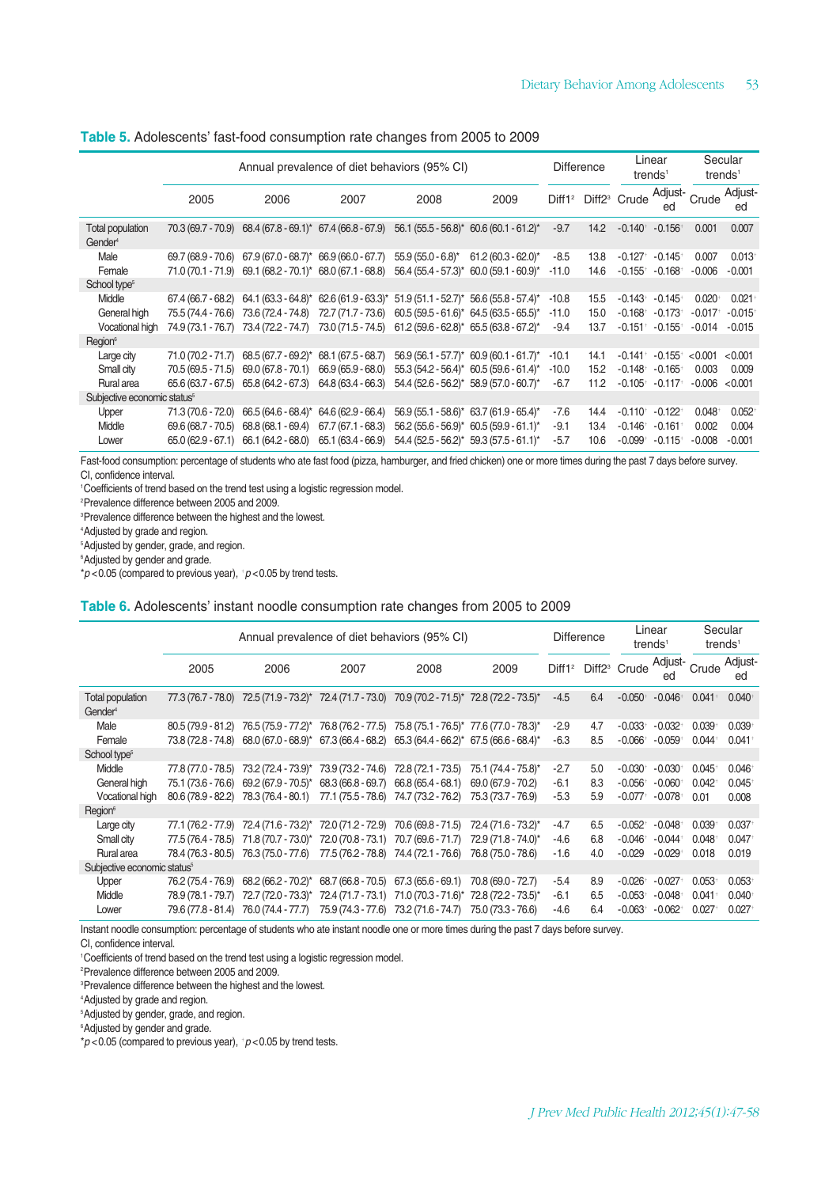#### **Table 5.** Adolescents' fast-food consumption rate changes from 2005 to 2009

|                                                |                     | Annual prevalence of diet behaviors (95% CI)                                  |                                           |                                           |                                                                                             | <b>Difference</b> |      | Linear<br>trends <sup>1</sup>               |                                                           | trends <sup>1</sup>   | Secular       |
|------------------------------------------------|---------------------|-------------------------------------------------------------------------------|-------------------------------------------|-------------------------------------------|---------------------------------------------------------------------------------------------|-------------------|------|---------------------------------------------|-----------------------------------------------------------|-----------------------|---------------|
|                                                | 2005                | 2006                                                                          | 2007                                      | 2008                                      | 2009                                                                                        |                   |      |                                             | Diff1 <sup>2</sup> Diff2 <sup>3</sup> Crude Adjust-<br>ed | Crude                 | Adjust-<br>ed |
| <b>Total population</b><br>Gender <sup>4</sup> | 70.3 (69.7 - 70.9)  |                                                                               | $68.4 (67.8 - 69.1)^*$ 67.4 (66.8 - 67.9) |                                           | $56.1 (55.5 - 56.8)^*$ 60.6 (60.1 - 61.2)*                                                  | $-9.7$            | 14.2 | $-0.140$ <sup>+</sup> $-0.156$ <sup>+</sup> |                                                           | 0.001                 | 0.007         |
| Male                                           | 69.7 (68.9 - 70.6)  | $67.9(67.0 - 68.7)^*$ 66.9 (66.0 - 67.7)                                      |                                           | $55.9(55.0 - 6.8)^{*}$                    | $61.2(60.3 - 62.0)^{*}$                                                                     | $-8.5$            | 13.8 | $-0.127$ <sup>+</sup>                       | $-0.145$ <sup>+</sup>                                     | 0.007                 | 0.013         |
| Female                                         |                     | 71.0 (70.1 - 71.9) 69.1 (68.2 - 70.1)* 68.0 (67.1 - 68.8)                     |                                           |                                           | $56.4 (55.4 - 57.3)^* 60.0 (59.1 - 60.9)^*$                                                 | $-11.0$           | 14.6 | $-0.155$ <sup>+</sup>                       | $-0.168$ <sup>+</sup>                                     | $-0.006$              | $-0.001$      |
| School type <sup>5</sup>                       |                     |                                                                               |                                           |                                           |                                                                                             |                   |      |                                             |                                                           |                       |               |
| Middle                                         | 67.4 (66.7 - 68.2)  |                                                                               |                                           |                                           | $64.1 (63.3 - 64.8)^*$ 62.6 $(61.9 - 63.3)^*$ 51.9 $(51.1 - 52.7)^*$ 56.6 $(55.8 - 57.4)^*$ | $-10.8$           | 15.5 | $-0.143$ <sup>+</sup>                       | $-0.145+$                                                 | $0.020^{+}$           | 0.021         |
| General high                                   | 75.5 (74.4 - 76.6)  | 73.6 (72.4 - 74.8)                                                            | 72.7 (71.7 - 73.6)                        | $60.5(59.5 - 61.6)^*$ 64.5 (63.5 - 65.5)* |                                                                                             | $-11.0$           | 15.0 | $-0.168$ <sup>+</sup>                       | $-0.173$ <sup>+</sup>                                     | $-0.017$ <sup>+</sup> | $-0.015$      |
| Vocational high                                | 74.9 (73.1 - 76.7)  | 73.4 (72.2 - 74.7) 73.0 (71.5 - 74.5) 61.2 (59.6 - 62.8)* 65.5 (63.8 - 67.2)* |                                           |                                           |                                                                                             | $-9.4$            | 13.7 | $-0.151$ †                                  | $-0.155$ <sup>+</sup>                                     | $-0.014$              | $-0.015$      |
| Region <sup>6</sup>                            |                     |                                                                               |                                           |                                           |                                                                                             |                   |      |                                             |                                                           |                       |               |
| Large city                                     | $71.0(70.2 - 71.7)$ | 68.5 (67.7 - 69.2)* 68.1 (67.5 - 68.7)                                        |                                           |                                           | $56.9(56.1 - 57.7)^*$ 60.9 (60.1 - 61.7)*                                                   | $-10.1$           | 14.1 | $-0.141$ <sup>+</sup>                       | $-0.155$ <sup>+</sup>                                     | < 0.001               | < 0.001       |
| Small city                                     | 70.5 (69.5 - 71.5)  | $69.0(67.8 - 70.1)$                                                           | $66.9(65.9 - 68.0)$                       |                                           | $55.3(54.2 - 56.4)^*$ 60.5 (59.6 - 61.4)*                                                   | $-10.0$           | 15.2 | $-0.148$ <sup>+</sup>                       | $-0.165$ <sup>+</sup>                                     | 0.003                 | 0.009         |
| Rural area                                     |                     | $65.6(63.7 - 67.5)$ $65.8(64.2 - 67.3)$                                       | 64.8 (63.4 - 66.3)                        |                                           | 54.4 (52.6 - 56.2)* 58.9 (57.0 - 60.7)*                                                     | $-6.7$            | 11.2 | $-0.105$ <sup>+</sup>                       | $-0.117$ <sup>+</sup>                                     | $-0.006$              | < 0.001       |
| Subjective economic status <sup>5</sup>        |                     |                                                                               |                                           |                                           |                                                                                             |                   |      |                                             |                                                           |                       |               |
| Upper                                          | 71.3 (70.6 - 72.0)  | $66.5(64.6 - 68.4)^*$ 64.6 (62.9 - 66.4)                                      |                                           |                                           | 56.9 (55.1 - 58.6)* 63.7 (61.9 - 65.4)*                                                     | $-7.6$            | 14.4 | $-0.110^{+}$                                | $-0.122$ <sup>+</sup>                                     | 0.048                 | 0.052         |
| Middle                                         | $69.6(68.7 - 70.5)$ | $68.8(68.1 - 69.4)$                                                           | $67.7(67.1 - 68.3)$                       |                                           | $56.2 (55.6 - 56.9)^*$ 60.5 (59.9 - 61.1)*                                                  | $-9.1$            | 13.4 | $-0.146$ <sup>+</sup>                       | $-0.161$ <sup>+</sup>                                     | 0.002                 | 0.004         |
| Lower                                          | $65.0(62.9 - 67.1)$ | 66.1 (64.2 - 68.0)                                                            | 65.1 (63.4 - 66.9)                        | 54.4 (52.5 - 56.2)*                       | $59.3(57.5 - 61.1)^{*}$                                                                     | $-5.7$            | 10.6 | $-0.099$ †                                  | $-0.115+$                                                 | $-0.008$              | $-0.001$      |
|                                                |                     |                                                                               |                                           |                                           |                                                                                             |                   |      |                                             |                                                           |                       |               |

Fast-food consumption: percentage of students who ate fast food (pizza, hamburger, and fried chicken) one or more times during the past 7 days before survey. CI, confidence interval.

1 Coefficients of trend based on the trend test using a logistic regression model.

2 Prevalence difference between 2005 and 2009.

3 Prevalence difference between the highest and the lowest.

4 Adjusted by grade and region.

5 Adjusted by gender, grade, and region.

6 Adjusted by gender and grade.

\**p* <0.05 (compared to previous year), †*p* <0.05 by trend tests.

#### **Table 6.** Adolescents' instant noodle consumption rate changes from 2005 to 2009

|                                                |                                           | Annual prevalence of diet behaviors (95% CI)                                                                                                                       |                                       |                                                                                                                                               |                                                                  |                            | <b>Difference</b> | Linear<br>trends <sup>1</sup>                                           |                                                                         | trends <sup>1</sup>     | Secular                                   |
|------------------------------------------------|-------------------------------------------|--------------------------------------------------------------------------------------------------------------------------------------------------------------------|---------------------------------------|-----------------------------------------------------------------------------------------------------------------------------------------------|------------------------------------------------------------------|----------------------------|-------------------|-------------------------------------------------------------------------|-------------------------------------------------------------------------|-------------------------|-------------------------------------------|
|                                                | 2005                                      | 2006                                                                                                                                                               | 2007                                  | 2008                                                                                                                                          | 2009                                                             |                            |                   | Diff1 <sup>2</sup> Diff2 <sup>3</sup> Crude Adjust- Crude Adjust-       | ed                                                                      |                         | ed                                        |
| <b>Total population</b><br>Gender <sup>4</sup> |                                           | 77.3 (76.7 - 78.0) 72.5 (71.9 - 73.2)* 72.4 (71.7 - 73.0) 70.9 (70.2 - 71.5)* 72.8 (72.2 - 73.5)*                                                                  |                                       |                                                                                                                                               |                                                                  | $-4.5$                     | 6.4               | $-0.050^{+}$                                                            | $-0.046$ <sup>+</sup>                                                   | $0.041$ <sup>+</sup>    | 0.040                                     |
| Male<br>Female                                 | $80.5(79.9 - 81.2)$<br>73.8 (72.8 - 74.8) | 76.5 (75.9 - 77.2)* 76.8 (76.2 - 77.5)<br>$68.0 (67.0 - 68.9)^*$ 67.3 $(66.4 - 68.2)$ 65.3 $(64.4 - 66.2)^*$ 67.5 $(66.6 - 68.4)^*$                                |                                       |                                                                                                                                               | 75.8 (75.1 - 76.5)* 77.6 (77.0 - 78.3)*                          | $-2.9$<br>$-6.3$           | 4.7<br>8.5        | $-0.033$ <sup>+</sup><br>$-0.066$ <sup>+</sup>                          | $-0.032$ <sup>+</sup><br>$-0.059$ <sup>+</sup>                          | 0.039<br>$0.044^{+}$    | 0.039<br>$0.041$ <sup>+</sup>             |
| School type <sup>5</sup>                       |                                           |                                                                                                                                                                    |                                       |                                                                                                                                               |                                                                  |                            |                   |                                                                         |                                                                         |                         |                                           |
| Middle<br>General high<br>Vocational high      | 77.8 (77.0 - 78.5)<br>75.1 (73.6 - 76.6)  | 73.2 (72.4 - 73.9)* 73.9 (73.2 - 74.6)<br>$69.2 (67.9 - 70.5)^*$ 68.3 (66.8 - 69.7)<br>80.6 (78.9 - 82.2) 78.3 (76.4 - 80.1) 77.1 (75.5 - 78.6) 74.7 (73.2 - 76.2) |                                       | 72.8 (72.1 - 73.5)<br>$66.8(65.4 - 68.1)$                                                                                                     | 75.1 (74.4 - 75.8)*<br>$69.0(67.9 - 70.2)$<br>75.3 (73.7 - 76.9) | $-2.7$<br>$-6.1$<br>$-5.3$ | 5.0<br>8.3<br>5.9 | $-0.030^{+}$<br>$-0.056$ <sup>+</sup><br>$-0.077$ <sup>+</sup>          | $-0.030^{+}$<br>$-0.060$ <sup>+</sup><br>$-0.078$ <sup>+</sup>          | 0.045<br>0.042<br>0.01  | $0.046$ <sup>+</sup><br>0.045<br>0.008    |
| Region <sup>6</sup>                            |                                           |                                                                                                                                                                    |                                       |                                                                                                                                               |                                                                  |                            |                   |                                                                         |                                                                         |                         |                                           |
| Large city<br>Small city<br>Rural area         | 77.5 (76.4 - 78.5)<br>78.4 (76.3 - 80.5)  | 77.1 (76.2 - 77.9) 72.4 (71.6 - 73.2)* 72.0 (71.2 - 72.9)<br>71.8 (70.7 - 73.0)* 72.0 (70.8 - 73.1)<br>76.3 (75.0 - 77.6)                                          | 77.5 (76.2 - 78.8) 74.4 (72.1 - 76.6) | 70.6 (69.8 - 71.5)<br>70.7 (69.6 - 71.7)                                                                                                      | 72.4 (71.6 - 73.2)*<br>72.9 (71.8 - 74.0)*<br>76.8 (75.0 - 78.6) | $-4.7$<br>-4.6<br>$-1.6$   | 6.5<br>6.8<br>4.0 | $-0.052$ <sup>+</sup><br>$-0.046$ <sup>+</sup><br>$-0.029$              | $-0.048$ <sup>+</sup><br>$-0.044$ <sup>+</sup><br>$-0.029$ <sup>+</sup> | 0.039<br>0.048<br>0.018 | $0.037$ <sup>+</sup><br>0.047<br>0.019    |
| Subjective economic status <sup>5</sup>        |                                           |                                                                                                                                                                    |                                       |                                                                                                                                               |                                                                  |                            |                   |                                                                         |                                                                         |                         |                                           |
| Upper<br>Middle<br>Lower                       | 76.2 (75.4 - 76.9)<br>78.9 (78.1 - 79.7)  | 68.2 (66.2 - 70.2)*<br>79.6 (77.8 - 81.4) 76.0 (74.4 - 77.7)                                                                                                       | 68.7 (66.8 - 70.5)                    | 67.3 (65.6 - 69.1)<br>72.7 (72.0 - 73.3)* 72.4 (71.7 - 73.1) 71.0 (70.3 - 71.6)* 72.8 (72.2 - 73.5)*<br>75.9 (74.3 - 77.6) 73.2 (71.6 - 74.7) | 70.8 (69.0 - 72.7)<br>75.0 (73.3 - 76.6)                         | $-5.4$<br>$-6.1$<br>-4.6   | 8.9<br>6.5<br>6.4 | $-0.026$ <sup>+</sup><br>$-0.053$ <sup>+</sup><br>$-0.063$ <sup>+</sup> | $-0.027$ <sup>+</sup><br>$-0.048$<br>$-0.062$ <sup>+</sup>              | 0.053<br>0.041<br>0.027 | $0.053+$<br>$0.040$ <sup>+</sup><br>0.027 |

Instant noodle consumption: percentage of students who ate instant noodle one or more times during the past 7 days before survey.

CI, confidence interval.

1 Coefficients of trend based on the trend test using a logistic regression model.

2 Prevalence difference between 2005 and 2009.

3 Prevalence difference between the highest and the lowest.

4 Adjusted by grade and region.

5 Adjusted by gender, grade, and region.

6 Adjusted by gender and grade.

\**p* <0.05 (compared to previous year), †*p* <0.05 by trend tests.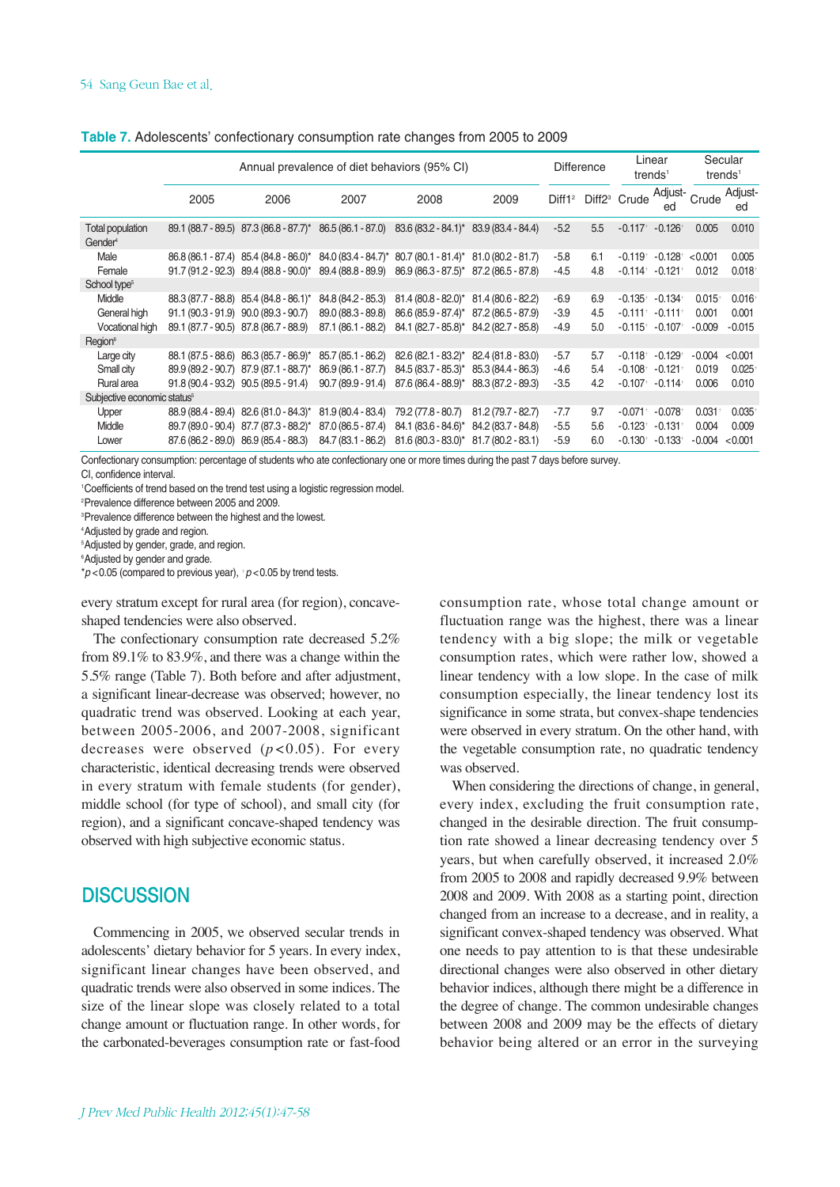| Table 7. Adolescents' confectionary consumption rate changes from 2005 to 2009 |  |  |  |
|--------------------------------------------------------------------------------|--|--|--|
|                                                                                |  |  |  |

|                                                |      | Annual prevalence of diet behaviors (95% CI)                                                          |                    |                                                           |                     |        |     | Linear<br>trends <sup>1</sup>               |                       |           | Secular<br>trends <sup>1</sup> |
|------------------------------------------------|------|-------------------------------------------------------------------------------------------------------|--------------------|-----------------------------------------------------------|---------------------|--------|-----|---------------------------------------------|-----------------------|-----------|--------------------------------|
|                                                | 2005 | 2006                                                                                                  | 2007               | 2008                                                      | 2009                |        |     | Diff1 <sup>2</sup> Diff2 <sup>3</sup> Crude | Adjust-<br>ed         | Crude     | Adjust-<br>ed                  |
| <b>Total population</b><br>Gender <sup>4</sup> |      | 89.1 (88.7 - 89.5) 87.3 (86.8 - 87.7)* 86.5 (86.1 - 87.0) 83.6 (83.2 - 84.1)* 83.9 (83.4 - 84.4)      |                    |                                                           |                     | $-5.2$ | 5.5 | $-0.117$ <sup>+</sup> $-0.126$ <sup>+</sup> |                       | 0.005     | 0.010                          |
| Male                                           |      | 86.8 (86.1 - 87.4) 85.4 (84.8 - 86.0)* 84.0 (83.4 - 84.7)* 80.7 (80.1 - 81.4)* 81.0 (80.2 - 81.7)     |                    |                                                           |                     | $-5.8$ | 6.1 | $-0.119$ <sup>+</sup>                       | $-0.128$ <sup>+</sup> | < 0.001   | 0.005                          |
| Female                                         |      | 91.7 (91.2 - 92.3) 89.4 (88.8 - 90.0)* 89.4 (88.8 - 89.9) 86.9 (86.3 - 87.5)* 87.2 (86.5 - 87.8)      |                    |                                                           |                     | $-4.5$ | 4.8 | $-0.114$ <sup>+</sup>                       | $-0.121$ <sup>+</sup> | 0.012     | 0.018                          |
| School type <sup>5</sup>                       |      |                                                                                                       |                    |                                                           |                     |        |     |                                             |                       |           |                                |
| Middle                                         |      | 88.3 (87.7 - 88.8) 85.4 (84.8 - 86.1)*                                                                | 84.8 (84.2 - 85.3) | $81.4(80.8 - 82.0)^*$ 81.4 (80.6 - 82.2)                  |                     | $-6.9$ | 6.9 | $-0.135+$                                   | $-0.134$ <sup>+</sup> | 0.015     | 0.016                          |
| General high                                   |      | $91.1 (90.3 - 91.9) 90.0 (89.3 - 90.7)$                                                               | 89.0 (88.3 - 89.8) | $86.6(85.9 - 87.4)^*$ 87.2 (86.5 - 87.9)                  |                     | $-3.9$ | 4.5 | $-0.111$ <sup>+</sup>                       | $-0.111$ <sup>+</sup> | 0.001     | 0.001                          |
| Vocational high                                |      | 89.1 (87.7 - 90.5) 87.8 (86.7 - 88.9)                                                                 |                    | 87.1 (86.1 - 88.2) 84.1 (82.7 - 85.8)* 84.2 (82.7 - 85.8) |                     | -4.9   | 5.0 | $-0.115+$                                   | $-0.107$              | $-0.009$  | $-0.015$                       |
| Region <sup>6</sup>                            |      |                                                                                                       |                    |                                                           |                     |        |     |                                             |                       |           |                                |
| Large city                                     |      | 88.1 (87.5 - 88.6) 86.3 (85.7 - 86.9)*                                                                | 85.7 (85.1 - 86.2) | $82.6(82.1 - 83.2)^*$ 82.4 (81.8 - 83.0)                  |                     | $-5.7$ | 5.7 | $-0.118$ <sup>+</sup>                       | $-0.129$ <sup>+</sup> | $-0.004$  | < 0.001                        |
| Small city                                     |      | $89.9(89.2 - 90.7)$ $87.9(87.1 - 88.7)^*$                                                             | 86.9 (86.1 - 87.7) | 84.5 (83.7 - 85.3)* 85.3 (84.4 - 86.3)                    |                     | -4.6   | 5.4 | $-0.108$ <sup>+</sup>                       | $-0.121$ <sup>+</sup> | 0.019     | 0.025                          |
| Rural area                                     |      | $91.8(90.4 - 93.2)$ $90.5(89.5 - 91.4)$ $90.7(89.9 - 91.4)$ $87.6(86.4 - 88.9)^*$ $88.3(87.2 - 89.3)$ |                    |                                                           |                     | $-3.5$ | 4.2 | $-0.107$ <sup>+</sup>                       | $-0.114$ <sup>+</sup> | 0.006     | 0.010                          |
| Subjective economic status <sup>5</sup>        |      |                                                                                                       |                    |                                                           |                     |        |     |                                             |                       |           |                                |
| Upper                                          |      | 88.9 (88.4 - 89.4) 82.6 (81.0 - 84.3)* 81.9 (80.4 - 83.4)                                             |                    | 79.2 (77.8 - 80.7)                                        | $81.2(79.7 - 82.7)$ | $-7.7$ | 9.7 | $-0.071$ <sup>+</sup>                       | $-0.078$ <sup>+</sup> | $0.031 +$ | 0.035                          |
| Middle                                         |      | 89.7 (89.0 - 90.4) 87.7 (87.3 - 88.2)*                                                                | 87.0 (86.5 - 87.4) | 84.1 (83.6 - 84.6)* 84.2 (83.7 - 84.8)                    |                     | $-5.5$ | 5.6 | $-0.123$ <sup>+</sup>                       | $-0.131$ <sup>+</sup> | 0.004     | 0.009                          |
| Lower                                          |      | 87.6 (86.2 - 89.0) 86.9 (85.4 - 88.3)                                                                 | 84.7 (83.1 - 86.2) | $81.6(80.3 - 83.0)^*$ 81.7 (80.2 - 83.1)                  |                     | $-5.9$ | 6.0 | $-0.130^{+}$                                | $-0.133^{+}$          | $-0.004$  | < 0.001                        |
|                                                |      |                                                                                                       |                    |                                                           |                     |        |     |                                             |                       |           |                                |

Confectionary consumption: percentage of students who ate confectionary one or more times during the past 7 days before survey. CI, confidence interval.

1 Coefficients of trend based on the trend test using a logistic regression model.

2 Prevalence difference between 2005 and 2009.

3 Prevalence difference between the highest and the lowest.

4 Adjusted by grade and region.

5 Adjusted by gender, grade, and region.

6 Adjusted by gender and grade.

\**p* <0.05 (compared to previous year), †*p* <0.05 by trend tests.

every stratum except for rural area (for region), concaveshaped tendencies were also observed.

The confectionary consumption rate decreased 5.2% from 89.1% to 83.9%, and there was a change within the 5.5% range (Table 7). Both before and after adjustment, a significant linear-decrease was observed; however, no quadratic trend was observed. Looking at each year, between 2005-2006, and 2007-2008, significant decreases were observed  $(p<0.05)$ . For every characteristic, identical decreasing trends were observed in every stratum with female students (for gender), middle school (for type of school), and small city (for region), and a significant concave-shaped tendency was observed with high subjective economic status.

### **DISCUSSION**

Commencing in 2005, we observed secular trends in adolescents' dietary behavior for 5 years. In every index, significant linear changes have been observed, and quadratic trends were also observed in some indices. The size of the linear slope was closely related to a total change amount or fluctuation range. In other words, for the carbonated-beverages consumption rate or fast-food consumption rate, whose total change amount or fluctuation range was the highest, there was a linear tendency with a big slope; the milk or vegetable consumption rates, which were rather low, showed a linear tendency with a low slope. In the case of milk consumption especially, the linear tendency lost its significance in some strata, but convex-shape tendencies were observed in every stratum. On the other hand, with the vegetable consumption rate, no quadratic tendency was observed.

When considering the directions of change, in general, every index, excluding the fruit consumption rate, changed in the desirable direction. The fruit consumption rate showed a linear decreasing tendency over 5 years, but when carefully observed, it increased 2.0% from 2005 to 2008 and rapidly decreased 9.9% between 2008 and 2009. With 2008 as a starting point, direction changed from an increase to a decrease, and in reality, a significant convex-shaped tendency was observed. What one needs to pay attention to is that these undesirable directional changes were also observed in other dietary behavior indices, although there might be a difference in the degree of change. The common undesirable changes between 2008 and 2009 may be the effects of dietary behavior being altered or an error in the surveying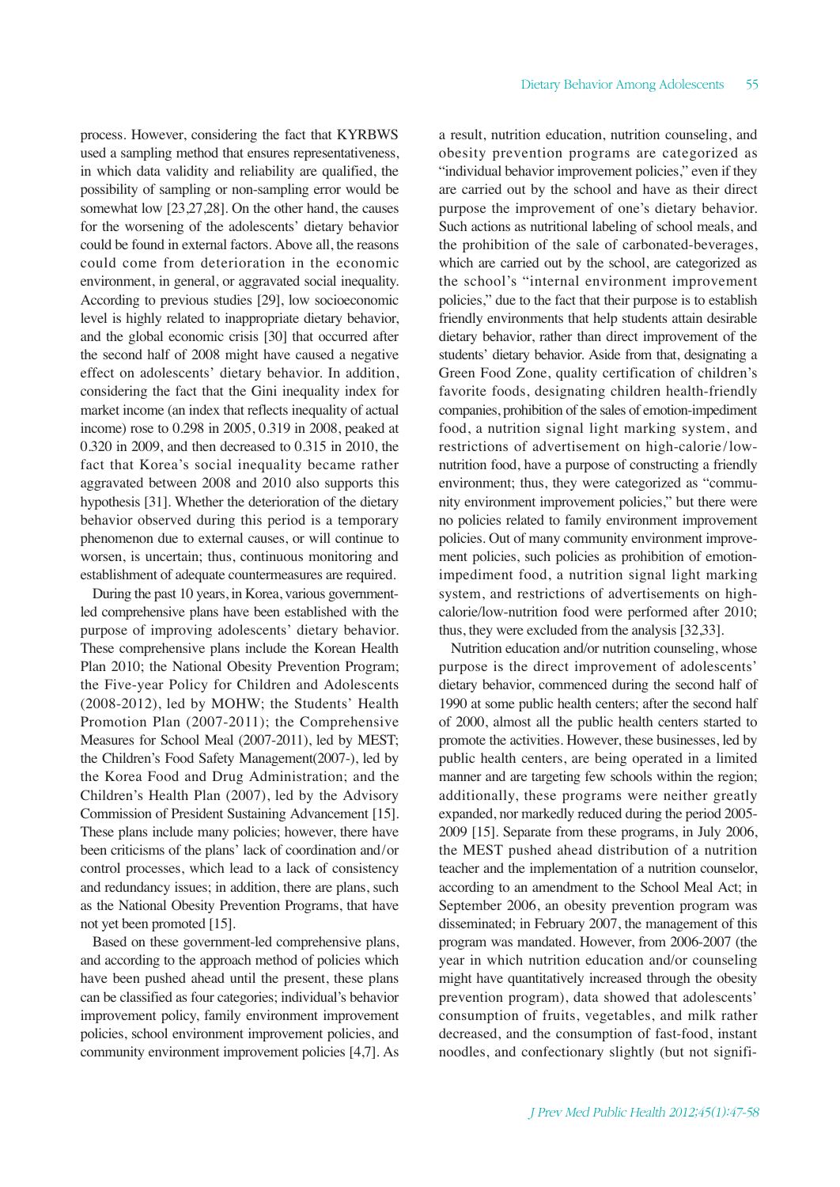process. However, considering the fact that KYRBWS used a sampling method that ensures representativeness, in which data validity and reliability are qualified, the possibility of sampling or non-sampling error would be somewhat low [23,27,28]. On the other hand, the causes for the worsening of the adolescents' dietary behavior could be found in external factors. Above all, the reasons could come from deterioration in the economic environment, in general, or aggravated social inequality. According to previous studies [29], low socioeconomic level is highly related to inappropriate dietary behavior, and the global economic crisis [30] that occurred after the second half of 2008 might have caused a negative effect on adolescents' dietary behavior. In addition, considering the fact that the Gini inequality index for market income (an index that reflects inequality of actual income) rose to 0.298 in 2005, 0.319 in 2008, peaked at 0.320 in 2009, and then decreased to 0.315 in 2010, the fact that Korea's social inequality became rather aggravated between 2008 and 2010 also supports this hypothesis [31]. Whether the deterioration of the dietary behavior observed during this period is a temporary phenomenon due to external causes, or will continue to worsen, is uncertain; thus, continuous monitoring and establishment of adequate countermeasures are required.

During the past 10 years, in Korea, various governmentled comprehensive plans have been established with the purpose of improving adolescents' dietary behavior. These comprehensive plans include the Korean Health Plan 2010; the National Obesity Prevention Program; the Five-year Policy for Children and Adolescents (2008-2012), led by MOHW; the Students' Health Promotion Plan (2007-2011); the Comprehensive Measures for School Meal (2007-2011), led by MEST; the Children's Food Safety Management(2007-), led by the Korea Food and Drug Administration; and the Children's Health Plan (2007), led by the Advisory Commission of President Sustaining Advancement [15]. These plans include many policies; however, there have been criticisms of the plans' lack of coordination and/or control processes, which lead to a lack of consistency and redundancy issues; in addition, there are plans, such as the National Obesity Prevention Programs, that have not yet been promoted [15].

Based on these government-led comprehensive plans, and according to the approach method of policies which have been pushed ahead until the present, these plans can be classified as four categories; individual's behavior improvement policy, family environment improvement policies, school environment improvement policies, and community environment improvement policies [4,7]. As a result, nutrition education, nutrition counseling, and obesity prevention programs are categorized as "individual behavior improvement policies," even if they are carried out by the school and have as their direct purpose the improvement of one's dietary behavior. Such actions as nutritional labeling of school meals, and the prohibition of the sale of carbonated-beverages, which are carried out by the school, are categorized as the school's "internal environment improvement policies," due to the fact that their purpose is to establish friendly environments that help students attain desirable dietary behavior, rather than direct improvement of the students' dietary behavior. Aside from that, designating a Green Food Zone, quality certification of children's favorite foods, designating children health-friendly companies, prohibition of the sales of emotion-impediment food, a nutrition signal light marking system, and restrictions of advertisement on high-calorie/lownutrition food, have a purpose of constructing a friendly environment; thus, they were categorized as "community environment improvement policies," but there were no policies related to family environment improvement policies. Out of many community environment improvement policies, such policies as prohibition of emotionimpediment food, a nutrition signal light marking system, and restrictions of advertisements on highcalorie/low-nutrition food were performed after 2010; thus, they were excluded from the analysis [32,33].

Nutrition education and/or nutrition counseling, whose purpose is the direct improvement of adolescents' dietary behavior, commenced during the second half of 1990 at some public health centers; after the second half of 2000, almost all the public health centers started to promote the activities. However, these businesses, led by public health centers, are being operated in a limited manner and are targeting few schools within the region; additionally, these programs were neither greatly expanded, nor markedly reduced during the period 2005- 2009 [15]. Separate from these programs, in July 2006, the MEST pushed ahead distribution of a nutrition teacher and the implementation of a nutrition counselor, according to an amendment to the School Meal Act; in September 2006, an obesity prevention program was disseminated; in February 2007, the management of this program was mandated. However, from 2006-2007 (the year in which nutrition education and/or counseling might have quantitatively increased through the obesity prevention program), data showed that adolescents' consumption of fruits, vegetables, and milk rather decreased, and the consumption of fast-food, instant noodles, and confectionary slightly (but not signifi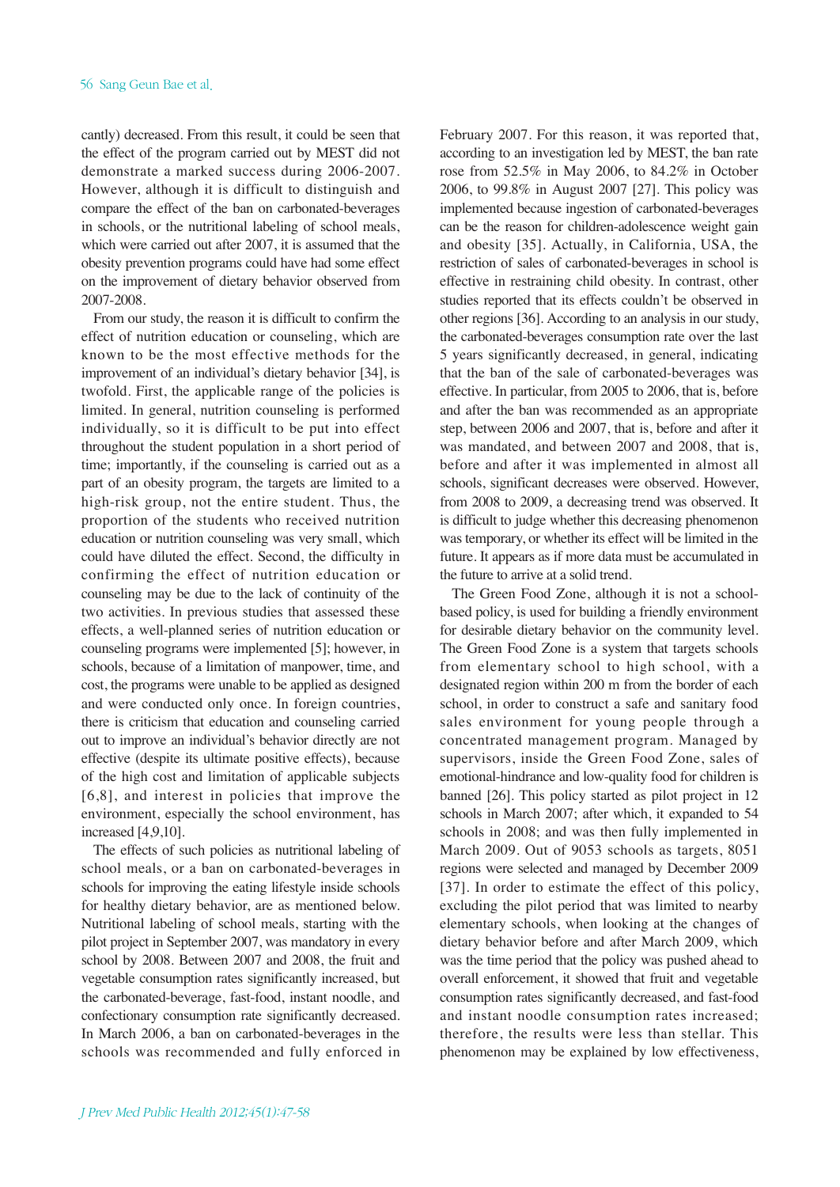cantly) decreased. From this result, it could be seen that the effect of the program carried out by MEST did not demonstrate a marked success during 2006-2007. However, although it is difficult to distinguish and compare the effect of the ban on carbonated-beverages in schools, or the nutritional labeling of school meals, which were carried out after 2007, it is assumed that the obesity prevention programs could have had some effect on the improvement of dietary behavior observed from 2007-2008.

From our study, the reason it is difficult to confirm the effect of nutrition education or counseling, which are known to be the most effective methods for the improvement of an individual's dietary behavior [34], is twofold. First, the applicable range of the policies is limited. In general, nutrition counseling is performed individually, so it is difficult to be put into effect throughout the student population in a short period of time; importantly, if the counseling is carried out as a part of an obesity program, the targets are limited to a high-risk group, not the entire student. Thus, the proportion of the students who received nutrition education or nutrition counseling was very small, which could have diluted the effect. Second, the difficulty in confirming the effect of nutrition education or counseling may be due to the lack of continuity of the two activities. In previous studies that assessed these effects, a well-planned series of nutrition education or counseling programs were implemented [5]; however, in schools, because of a limitation of manpower, time, and cost, the programs were unable to be applied as designed and were conducted only once. In foreign countries, there is criticism that education and counseling carried out to improve an individual's behavior directly are not effective (despite its ultimate positive effects), because of the high cost and limitation of applicable subjects [6,8], and interest in policies that improve the environment, especially the school environment, has increased [4,9,10].

The effects of such policies as nutritional labeling of school meals, or a ban on carbonated-beverages in schools for improving the eating lifestyle inside schools for healthy dietary behavior, are as mentioned below. Nutritional labeling of school meals, starting with the pilot project in September 2007, was mandatory in every school by 2008. Between 2007 and 2008, the fruit and vegetable consumption rates significantly increased, but the carbonated-beverage, fast-food, instant noodle, and confectionary consumption rate significantly decreased. In March 2006, a ban on carbonated-beverages in the schools was recommended and fully enforced in February 2007. For this reason, it was reported that, according to an investigation led by MEST, the ban rate rose from 52.5% in May 2006, to 84.2% in October 2006, to 99.8% in August 2007 [27]. This policy was implemented because ingestion of carbonated-beverages can be the reason for children-adolescence weight gain and obesity [35]. Actually, in California, USA, the restriction of sales of carbonated-beverages in school is effective in restraining child obesity. In contrast, other studies reported that its effects couldn't be observed in other regions [36]. According to an analysis in our study, the carbonated-beverages consumption rate over the last 5 years significantly decreased, in general, indicating that the ban of the sale of carbonated-beverages was effective. In particular, from 2005 to 2006, that is, before and after the ban was recommended as an appropriate step, between 2006 and 2007, that is, before and after it was mandated, and between 2007 and 2008, that is, before and after it was implemented in almost all schools, significant decreases were observed. However, from 2008 to 2009, a decreasing trend was observed. It is difficult to judge whether this decreasing phenomenon was temporary, or whether its effect will be limited in the future. It appears as if more data must be accumulated in the future to arrive at a solid trend.

The Green Food Zone, although it is not a schoolbased policy, is used for building a friendly environment for desirable dietary behavior on the community level. The Green Food Zone is a system that targets schools from elementary school to high school, with a designated region within 200 m from the border of each school, in order to construct a safe and sanitary food sales environment for young people through a concentrated management program. Managed by supervisors, inside the Green Food Zone, sales of emotional-hindrance and low-quality food for children is banned [26]. This policy started as pilot project in 12 schools in March 2007; after which, it expanded to 54 schools in 2008; and was then fully implemented in March 2009. Out of 9053 schools as targets, 8051 regions were selected and managed by December 2009 [37]. In order to estimate the effect of this policy, excluding the pilot period that was limited to nearby elementary schools, when looking at the changes of dietary behavior before and after March 2009, which was the time period that the policy was pushed ahead to overall enforcement, it showed that fruit and vegetable consumption rates significantly decreased, and fast-food and instant noodle consumption rates increased; therefore, the results were less than stellar. This phenomenon may be explained by low effectiveness,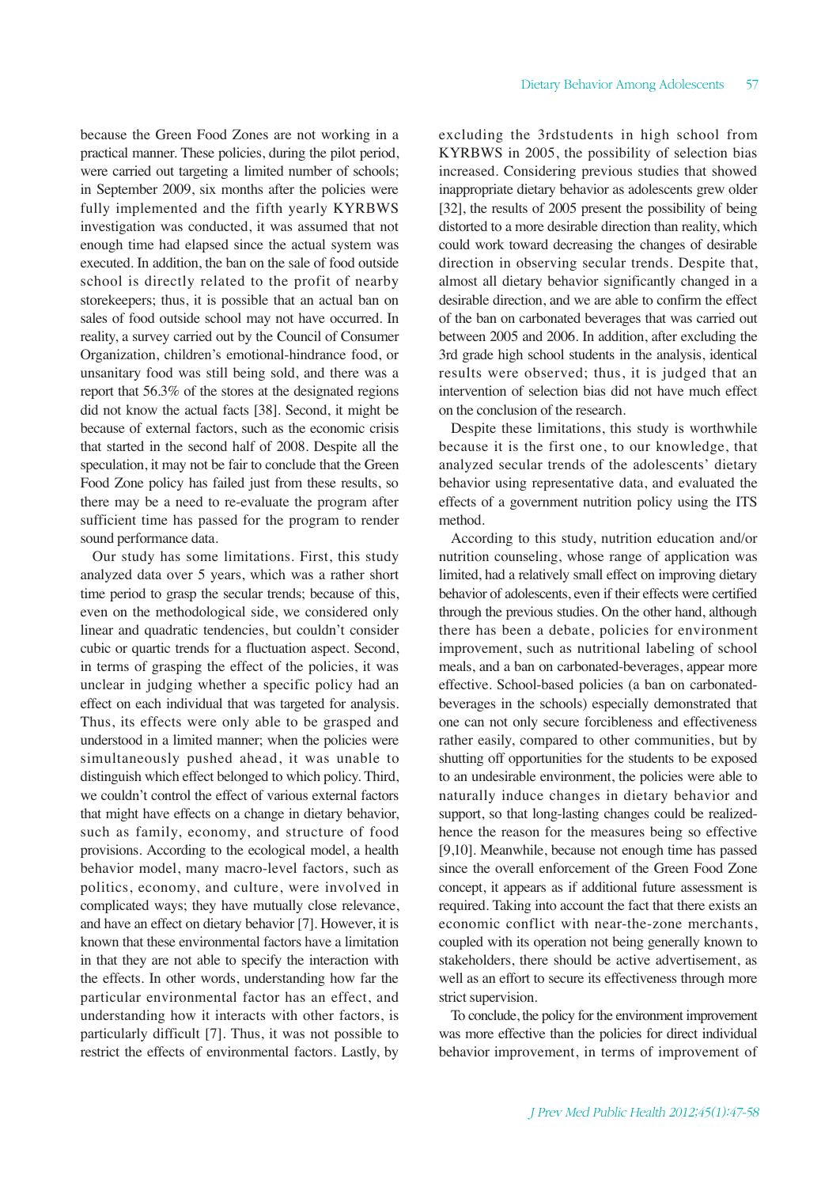because the Green Food Zones are not working in a practical manner. These policies, during the pilot period, were carried out targeting a limited number of schools; in September 2009, six months after the policies were fully implemented and the fifth yearly KYRBWS investigation was conducted, it was assumed that not enough time had elapsed since the actual system was executed. In addition, the ban on the sale of food outside school is directly related to the profit of nearby storekeepers; thus, it is possible that an actual ban on sales of food outside school may not have occurred. In reality, a survey carried out by the Council of Consumer Organization, children's emotional-hindrance food, or unsanitary food was still being sold, and there was a report that 56.3% of the stores at the designated regions did not know the actual facts [38]. Second, it might be because of external factors, such as the economic crisis that started in the second half of 2008. Despite all the speculation, it may not be fair to conclude that the Green Food Zone policy has failed just from these results, so there may be a need to re-evaluate the program after sufficient time has passed for the program to render sound performance data.

Our study has some limitations. First, this study analyzed data over 5 years, which was a rather short time period to grasp the secular trends; because of this, even on the methodological side, we considered only linear and quadratic tendencies, but couldn't consider cubic or quartic trends for a fluctuation aspect. Second, in terms of grasping the effect of the policies, it was unclear in judging whether a specific policy had an effect on each individual that was targeted for analysis. Thus, its effects were only able to be grasped and understood in a limited manner; when the policies were simultaneously pushed ahead, it was unable to distinguish which effect belonged to which policy. Third, we couldn't control the effect of various external factors that might have effects on a change in dietary behavior, such as family, economy, and structure of food provisions. According to the ecological model, a health behavior model, many macro-level factors, such as politics, economy, and culture, were involved in complicated ways; they have mutually close relevance, and have an effect on dietary behavior [7]. However, it is known that these environmental factors have a limitation in that they are not able to specify the interaction with the effects. In other words, understanding how far the particular environmental factor has an effect, and understanding how it interacts with other factors, is particularly difficult [7]. Thus, it was not possible to restrict the effects of environmental factors. Lastly, by excluding the 3rdstudents in high school from KYRBWS in 2005, the possibility of selection bias increased. Considering previous studies that showed inappropriate dietary behavior as adolescents grew older [32], the results of 2005 present the possibility of being distorted to a more desirable direction than reality, which could work toward decreasing the changes of desirable direction in observing secular trends. Despite that, almost all dietary behavior significantly changed in a desirable direction, and we are able to confirm the effect of the ban on carbonated beverages that was carried out between 2005 and 2006. In addition, after excluding the 3rd grade high school students in the analysis, identical results were observed; thus, it is judged that an intervention of selection bias did not have much effect on the conclusion of the research.

Despite these limitations, this study is worthwhile because it is the first one, to our knowledge, that analyzed secular trends of the adolescents' dietary behavior using representative data, and evaluated the effects of a government nutrition policy using the ITS method.

According to this study, nutrition education and/or nutrition counseling, whose range of application was limited, had a relatively small effect on improving dietary behavior of adolescents, even if their effects were certified through the previous studies. On the other hand, although there has been a debate, policies for environment improvement, such as nutritional labeling of school meals, and a ban on carbonated-beverages, appear more effective. School-based policies (a ban on carbonatedbeverages in the schools) especially demonstrated that one can not only secure forcibleness and effectiveness rather easily, compared to other communities, but by shutting off opportunities for the students to be exposed to an undesirable environment, the policies were able to naturally induce changes in dietary behavior and support, so that long-lasting changes could be realizedhence the reason for the measures being so effective [9,10]. Meanwhile, because not enough time has passed since the overall enforcement of the Green Food Zone concept, it appears as if additional future assessment is required. Taking into account the fact that there exists an economic conflict with near-the-zone merchants, coupled with its operation not being generally known to stakeholders, there should be active advertisement, as well as an effort to secure its effectiveness through more strict supervision.

To conclude, the policy for the environment improvement was more effective than the policies for direct individual behavior improvement, in terms of improvement of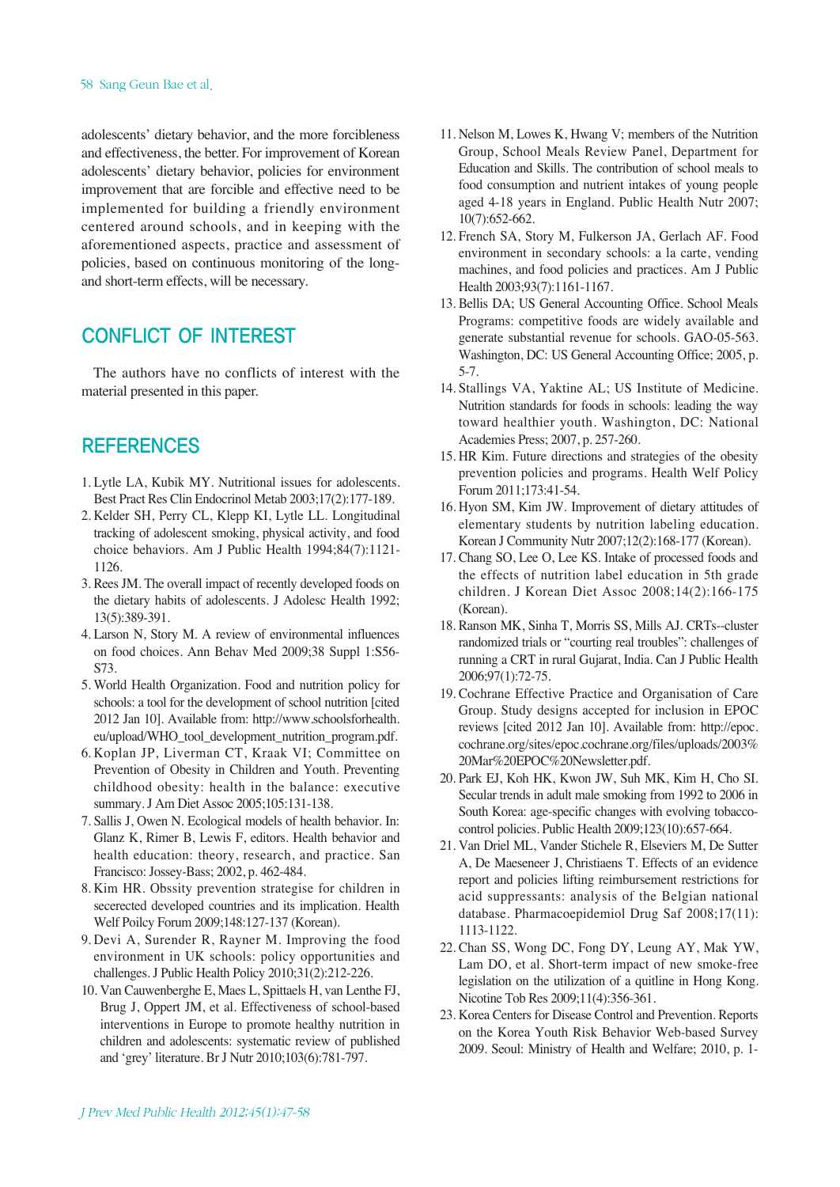#### 58 Sang Geun Bae et al.

adolescents' dietary behavior, and the more forcibleness and effectiveness, the better. For improvement of Korean adolescents' dietary behavior, policies for environment improvement that are forcible and effective need to be implemented for building a friendly environment centered around schools, and in keeping with the aforementioned aspects, practice and assessment of policies, based on continuous monitoring of the longand short-term effects, will be necessary.

# CONFLICT OF INTEREST

The authors have no conflicts of interest with the material presented in this paper.

## **REFERENCES**

- 1. Lytle LA, Kubik MY. Nutritional issues for adolescents. Best Pract Res Clin Endocrinol Metab 2003;17(2):177-189.
- 2. Kelder SH, Perry CL, Klepp KI, Lytle LL. Longitudinal tracking of adolescent smoking, physical activity, and food choice behaviors. Am J Public Health 1994;84(7):1121- 1126.
- 3. Rees JM. The overall impact of recently developed foods on the dietary habits of adolescents. J Adolesc Health 1992; 13(5):389-391.
- 4. Larson N, Story M. A review of environmental influences on food choices. Ann Behav Med 2009;38 Suppl 1:S56- S73.
- 5. World Health Organization. Food and nutrition policy for schools: a tool for the development of school nutrition [cited 2012 Jan 10]. Available from: http://www.schoolsforhealth. eu/upload/WHO\_tool\_development\_nutrition\_program.pdf.
- 6. Koplan JP, Liverman CT, Kraak VI; Committee on Prevention of Obesity in Children and Youth. Preventing childhood obesity: health in the balance: executive summary. J Am Diet Assoc 2005;105:131-138.
- 7. Sallis J, Owen N. Ecological models of health behavior. In: Glanz K, Rimer B, Lewis F, editors. Health behavior and health education: theory, research, and practice. San Francisco: Jossey-Bass; 2002, p. 462-484.
- 8. Kim HR. Obssity prevention strategise for children in secerected developed countries and its implication. Health Welf Poilcy Forum 2009;148:127-137 (Korean).
- 9. Devi A, Surender R, Rayner M. Improving the food environment in UK schools: policy opportunities and challenges. J Public Health Policy 2010;31(2):212-226.
- 10. Van Cauwenberghe E, Maes L, Spittaels H, van Lenthe FJ, Brug J, Oppert JM, et al. Effectiveness of school-based interventions in Europe to promote healthy nutrition in children and adolescents: systematic review of published and 'grey' literature. Br J Nutr 2010;103(6):781-797.
- 11. Nelson M, Lowes K, Hwang V; members of the Nutrition Group, School Meals Review Panel, Department for Education and Skills. The contribution of school meals to food consumption and nutrient intakes of young people aged 4-18 years in England. Public Health Nutr 2007; 10(7):652-662.
- 12. French SA, Story M, Fulkerson JA, Gerlach AF. Food environment in secondary schools: a la carte, vending machines, and food policies and practices. Am J Public Health 2003;93(7):1161-1167.
- 13. Bellis DA; US General Accounting Office. School Meals Programs: competitive foods are widely available and generate substantial revenue for schools. GAO-05-563. Washington, DC: US General Accounting Office; 2005, p. 5-7.
- 14. Stallings VA, Yaktine AL; US Institute of Medicine. Nutrition standards for foods in schools: leading the way toward healthier youth. Washington, DC: National Academies Press; 2007, p. 257-260.
- 15. HR Kim. Future directions and strategies of the obesity prevention policies and programs. Health Welf Policy Forum 2011;173:41-54.
- 16. Hyon SM, Kim JW. Improvement of dietary attitudes of elementary students by nutrition labeling education. Korean J Community Nutr 2007;12(2):168-177 (Korean).
- 17. Chang SO, Lee O, Lee KS. Intake of processed foods and the effects of nutrition label education in 5th grade children. J Korean Diet Assoc 2008;14(2):166-175 (Korean).
- 18. Ranson MK, Sinha T, Morris SS, Mills AJ. CRTs--cluster randomized trials or "courting real troubles": challenges of running a CRT in rural Gujarat, India. Can J Public Health 2006;97(1):72-75.
- 19. Cochrane Effective Practice and Organisation of Care Group. Study designs accepted for inclusion in EPOC reviews [cited 2012 Jan 10]. Available from: http://epoc. cochrane.org/sites/epoc.cochrane.org/files/uploads/2003% 20Mar%20EPOC%20Newsletter.pdf.
- 20. Park EJ, Koh HK, Kwon JW, Suh MK, Kim H, Cho SI. Secular trends in adult male smoking from 1992 to 2006 in South Korea: age-specific changes with evolving tobaccocontrol policies. Public Health 2009;123(10):657-664.
- 21. Van Driel ML, Vander Stichele R, Elseviers M, De Sutter A, De Maeseneer J, Christiaens T. Effects of an evidence report and policies lifting reimbursement restrictions for acid suppressants: analysis of the Belgian national database. Pharmacoepidemiol Drug Saf 2008;17(11): 1113-1122.
- 22. Chan SS, Wong DC, Fong DY, Leung AY, Mak YW, Lam DO, et al. Short-term impact of new smoke-free legislation on the utilization of a quitline in Hong Kong. Nicotine Tob Res 2009;11(4):356-361.
- 23. Korea Centers for Disease Control and Prevention. Reports on the Korea Youth Risk Behavior Web-based Survey 2009. Seoul: Ministry of Health and Welfare; 2010, p. 1-